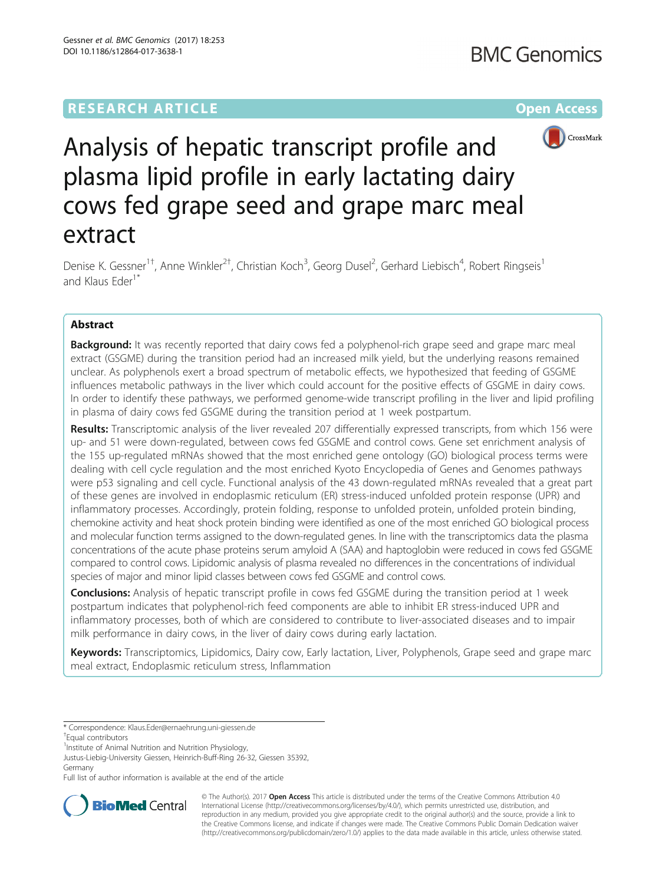## **RESEARCH ARTICLE Example 2014 12:30 The Community Community Community Community Community Community Community**



# Analysis of hepatic transcript profile and plasma lipid profile in early lactating dairy cows fed grape seed and grape marc meal extract

Denise K. Gessner<sup>1†</sup>, Anne Winkler<sup>2†</sup>, Christian Koch<sup>3</sup>, Georg Dusel<sup>2</sup>, Gerhard Liebisch<sup>4</sup>, Robert Ringseis<sup>1</sup> and Klaus Eder<sup>1\*</sup>

## Abstract

**Background:** It was recently reported that dairy cows fed a polyphenol-rich grape seed and grape marc meal extract (GSGME) during the transition period had an increased milk yield, but the underlying reasons remained unclear. As polyphenols exert a broad spectrum of metabolic effects, we hypothesized that feeding of GSGME influences metabolic pathways in the liver which could account for the positive effects of GSGME in dairy cows. In order to identify these pathways, we performed genome-wide transcript profiling in the liver and lipid profiling in plasma of dairy cows fed GSGME during the transition period at 1 week postpartum.

Results: Transcriptomic analysis of the liver revealed 207 differentially expressed transcripts, from which 156 were up- and 51 were down-regulated, between cows fed GSGME and control cows. Gene set enrichment analysis of the 155 up-regulated mRNAs showed that the most enriched gene ontology (GO) biological process terms were dealing with cell cycle regulation and the most enriched Kyoto Encyclopedia of Genes and Genomes pathways were p53 signaling and cell cycle. Functional analysis of the 43 down-regulated mRNAs revealed that a great part of these genes are involved in endoplasmic reticulum (ER) stress-induced unfolded protein response (UPR) and inflammatory processes. Accordingly, protein folding, response to unfolded protein, unfolded protein binding, chemokine activity and heat shock protein binding were identified as one of the most enriched GO biological process and molecular function terms assigned to the down-regulated genes. In line with the transcriptomics data the plasma concentrations of the acute phase proteins serum amyloid A (SAA) and haptoglobin were reduced in cows fed GSGME compared to control cows. Lipidomic analysis of plasma revealed no differences in the concentrations of individual species of major and minor lipid classes between cows fed GSGME and control cows.

**Conclusions:** Analysis of hepatic transcript profile in cows fed GSGME during the transition period at 1 week postpartum indicates that polyphenol-rich feed components are able to inhibit ER stress-induced UPR and inflammatory processes, both of which are considered to contribute to liver-associated diseases and to impair milk performance in dairy cows, in the liver of dairy cows during early lactation.

Keywords: Transcriptomics, Lipidomics, Dairy cow, Early lactation, Liver, Polyphenols, Grape seed and grape marc meal extract, Endoplasmic reticulum stress, Inflammation

Full list of author information is available at the end of the article



© The Author(s). 2017 **Open Access** This article is distributed under the terms of the Creative Commons Attribution 4.0 International License [\(http://creativecommons.org/licenses/by/4.0/](http://creativecommons.org/licenses/by/4.0/)), which permits unrestricted use, distribution, and reproduction in any medium, provided you give appropriate credit to the original author(s) and the source, provide a link to the Creative Commons license, and indicate if changes were made. The Creative Commons Public Domain Dedication waiver [\(http://creativecommons.org/publicdomain/zero/1.0/](http://creativecommons.org/publicdomain/zero/1.0/)) applies to the data made available in this article, unless otherwise stated.

<sup>\*</sup> Correspondence: [Klaus.Eder@ernaehrung.uni-giessen.de](mailto:Klaus.Eder@ernaehrung.uni-giessen.de) †

<sup>&</sup>lt;sup>T</sup>Equal contributors

<sup>&</sup>lt;sup>1</sup> Institute of Animal Nutrition and Nutrition Physiology,

Justus-Liebig-University Giessen, Heinrich-Buff-Ring 26-32, Giessen 35392, Germany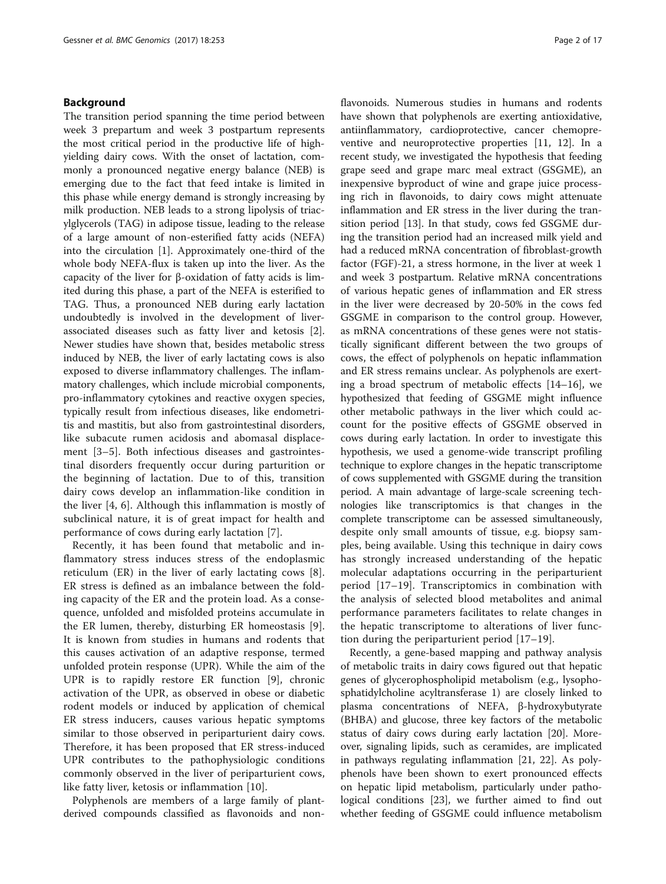## Background

The transition period spanning the time period between week 3 prepartum and week 3 postpartum represents the most critical period in the productive life of highyielding dairy cows. With the onset of lactation, commonly a pronounced negative energy balance (NEB) is emerging due to the fact that feed intake is limited in this phase while energy demand is strongly increasing by milk production. NEB leads to a strong lipolysis of triacylglycerols (TAG) in adipose tissue, leading to the release of a large amount of non-esterified fatty acids (NEFA) into the circulation [[1](#page-14-0)]. Approximately one-third of the whole body NEFA-flux is taken up into the liver. As the capacity of the liver for β-oxidation of fatty acids is limited during this phase, a part of the NEFA is esterified to TAG. Thus, a pronounced NEB during early lactation undoubtedly is involved in the development of liverassociated diseases such as fatty liver and ketosis [\[2](#page-14-0)]. Newer studies have shown that, besides metabolic stress induced by NEB, the liver of early lactating cows is also exposed to diverse inflammatory challenges. The inflammatory challenges, which include microbial components, pro-inflammatory cytokines and reactive oxygen species, typically result from infectious diseases, like endometritis and mastitis, but also from gastrointestinal disorders, like subacute rumen acidosis and abomasal displacement [\[3](#page-14-0)–[5](#page-14-0)]. Both infectious diseases and gastrointestinal disorders frequently occur during parturition or the beginning of lactation. Due to of this, transition dairy cows develop an inflammation-like condition in the liver [[4, 6](#page-14-0)]. Although this inflammation is mostly of subclinical nature, it is of great impact for health and performance of cows during early lactation [\[7](#page-14-0)].

Recently, it has been found that metabolic and inflammatory stress induces stress of the endoplasmic reticulum (ER) in the liver of early lactating cows [\[8](#page-14-0)]. ER stress is defined as an imbalance between the folding capacity of the ER and the protein load. As a consequence, unfolded and misfolded proteins accumulate in the ER lumen, thereby, disturbing ER homeostasis [\[9](#page-14-0)]. It is known from studies in humans and rodents that this causes activation of an adaptive response, termed unfolded protein response (UPR). While the aim of the UPR is to rapidly restore ER function [\[9](#page-14-0)], chronic activation of the UPR, as observed in obese or diabetic rodent models or induced by application of chemical ER stress inducers, causes various hepatic symptoms similar to those observed in periparturient dairy cows. Therefore, it has been proposed that ER stress-induced UPR contributes to the pathophysiologic conditions commonly observed in the liver of periparturient cows, like fatty liver, ketosis or inflammation [[10\]](#page-14-0).

Polyphenols are members of a large family of plantderived compounds classified as flavonoids and nonflavonoids. Numerous studies in humans and rodents have shown that polyphenols are exerting antioxidative, antiinflammatory, cardioprotective, cancer chemopreventive and neuroprotective properties [[11, 12\]](#page-14-0). In a recent study, we investigated the hypothesis that feeding grape seed and grape marc meal extract (GSGME), an inexpensive byproduct of wine and grape juice processing rich in flavonoids, to dairy cows might attenuate inflammation and ER stress in the liver during the transition period [\[13\]](#page-14-0). In that study, cows fed GSGME during the transition period had an increased milk yield and had a reduced mRNA concentration of fibroblast-growth factor (FGF)-21, a stress hormone, in the liver at week 1 and week 3 postpartum. Relative mRNA concentrations of various hepatic genes of inflammation and ER stress in the liver were decreased by 20-50% in the cows fed GSGME in comparison to the control group. However, as mRNA concentrations of these genes were not statistically significant different between the two groups of cows, the effect of polyphenols on hepatic inflammation and ER stress remains unclear. As polyphenols are exerting a broad spectrum of metabolic effects [[14](#page-14-0)–[16\]](#page-14-0), we hypothesized that feeding of GSGME might influence other metabolic pathways in the liver which could account for the positive effects of GSGME observed in cows during early lactation. In order to investigate this hypothesis, we used a genome-wide transcript profiling technique to explore changes in the hepatic transcriptome of cows supplemented with GSGME during the transition period. A main advantage of large-scale screening technologies like transcriptomics is that changes in the complete transcriptome can be assessed simultaneously, despite only small amounts of tissue, e.g. biopsy samples, being available. Using this technique in dairy cows has strongly increased understanding of the hepatic molecular adaptations occurring in the periparturient period [[17](#page-14-0)–[19\]](#page-14-0). Transcriptomics in combination with the analysis of selected blood metabolites and animal performance parameters facilitates to relate changes in the hepatic transcriptome to alterations of liver function during the periparturient period [[17](#page-14-0)–[19\]](#page-14-0).

Recently, a gene-based mapping and pathway analysis of metabolic traits in dairy cows figured out that hepatic genes of glycerophospholipid metabolism (e.g., lysophosphatidylcholine acyltransferase 1) are closely linked to plasma concentrations of NEFA, β-hydroxybutyrate (BHBA) and glucose, three key factors of the metabolic status of dairy cows during early lactation [\[20\]](#page-14-0). Moreover, signaling lipids, such as ceramides, are implicated in pathways regulating inflammation [[21](#page-14-0), [22\]](#page-14-0). As polyphenols have been shown to exert pronounced effects on hepatic lipid metabolism, particularly under pathological conditions [[23\]](#page-15-0), we further aimed to find out whether feeding of GSGME could influence metabolism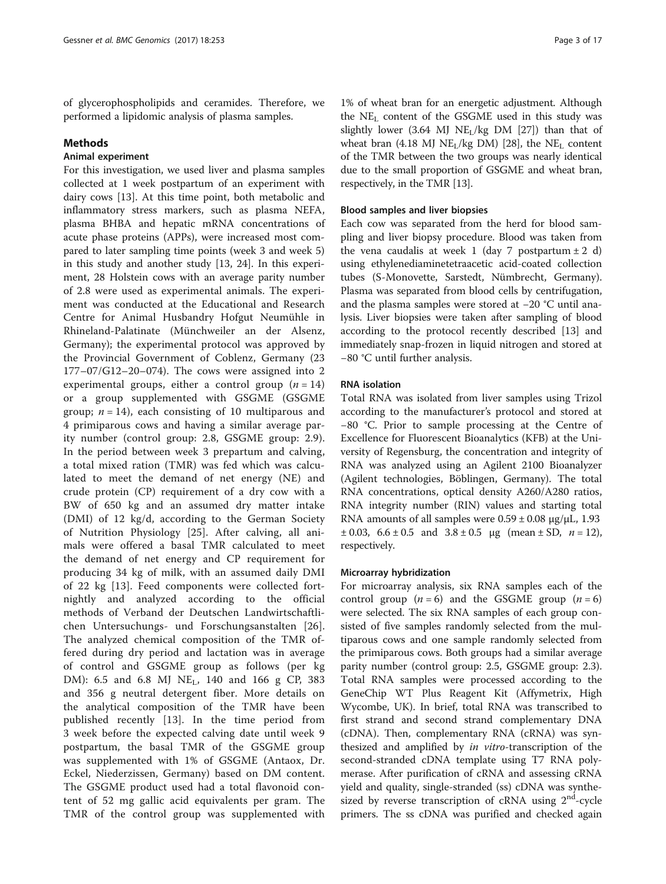of glycerophospholipids and ceramides. Therefore, we performed a lipidomic analysis of plasma samples.

#### Methods

## Animal experiment

For this investigation, we used liver and plasma samples collected at 1 week postpartum of an experiment with dairy cows [[13\]](#page-14-0). At this time point, both metabolic and inflammatory stress markers, such as plasma NEFA, plasma BHBA and hepatic mRNA concentrations of acute phase proteins (APPs), were increased most compared to later sampling time points (week 3 and week 5) in this study and another study [[13,](#page-14-0) [24\]](#page-15-0). In this experiment, 28 Holstein cows with an average parity number of 2.8 were used as experimental animals. The experiment was conducted at the Educational and Research Centre for Animal Husbandry Hofgut Neumühle in Rhineland-Palatinate (Münchweiler an der Alsenz, Germany); the experimental protocol was approved by the Provincial Government of Coblenz, Germany (23 177–07/G12–20–074). The cows were assigned into 2 experimental groups, either a control group  $(n = 14)$ or a group supplemented with GSGME (GSGME group;  $n = 14$ ), each consisting of 10 multiparous and 4 primiparous cows and having a similar average parity number (control group: 2.8, GSGME group: 2.9). In the period between week 3 prepartum and calving, a total mixed ration (TMR) was fed which was calculated to meet the demand of net energy (NE) and crude protein (CP) requirement of a dry cow with a BW of 650 kg and an assumed dry matter intake (DMI) of 12 kg/d, according to the German Society of Nutrition Physiology [[25\]](#page-15-0). After calving, all animals were offered a basal TMR calculated to meet the demand of net energy and CP requirement for producing 34 kg of milk, with an assumed daily DMI of 22 kg [[13\]](#page-14-0). Feed components were collected fortnightly and analyzed according to the official methods of Verband der Deutschen Landwirtschaftlichen Untersuchungs- und Forschungsanstalten [[26](#page-15-0)]. The analyzed chemical composition of the TMR offered during dry period and lactation was in average of control and GSGME group as follows (per kg DM): 6.5 and 6.8 MJ NE<sub>L</sub>, 140 and 166 g CP, 383 and 356 g neutral detergent fiber. More details on the analytical composition of the TMR have been published recently [\[13](#page-14-0)]. In the time period from 3 week before the expected calving date until week 9 postpartum, the basal TMR of the GSGME group was supplemented with 1% of GSGME (Antaox, Dr. Eckel, Niederzissen, Germany) based on DM content. The GSGME product used had a total flavonoid content of 52 mg gallic acid equivalents per gram. The TMR of the control group was supplemented with

1% of wheat bran for an energetic adjustment. Although the  $NE<sub>L</sub>$  content of the GSGME used in this study was slightly lower (3.64 MJ  $NE<sub>L</sub>/kg DM$  [\[27\]](#page-15-0)) than that of wheat bran (4.18 MJ NE<sub>L</sub>/kg DM) [[28](#page-15-0)], the NE<sub>L</sub> content of the TMR between the two groups was nearly identical due to the small proportion of GSGME and wheat bran, respectively, in the TMR [\[13\]](#page-14-0).

#### Blood samples and liver biopsies

Each cow was separated from the herd for blood sampling and liver biopsy procedure. Blood was taken from the vena caudalis at week 1 (day 7 postpartum  $\pm 2$  d) using ethylenediaminetetraacetic acid-coated collection tubes (S-Monovette, Sarstedt, Nümbrecht, Germany). Plasma was separated from blood cells by centrifugation, and the plasma samples were stored at −20 °C until analysis. Liver biopsies were taken after sampling of blood according to the protocol recently described [\[13](#page-14-0)] and immediately snap-frozen in liquid nitrogen and stored at −80 °C until further analysis.

#### RNA isolation

Total RNA was isolated from liver samples using Trizol according to the manufacturer's protocol and stored at −80 °C. Prior to sample processing at the Centre of Excellence for Fluorescent Bioanalytics (KFB) at the University of Regensburg, the concentration and integrity of RNA was analyzed using an Agilent 2100 Bioanalyzer (Agilent technologies, Böblingen, Germany). The total RNA concentrations, optical density A260/A280 ratios, RNA integrity number (RIN) values and starting total RNA amounts of all samples were  $0.59 \pm 0.08$  μg/μL, 1.93  $\pm 0.03$ ,  $6.6 \pm 0.5$  and  $3.8 \pm 0.5$  µg (mean  $\pm$  SD,  $n = 12$ ), respectively.

### Microarray hybridization

For microarray analysis, six RNA samples each of the control group  $(n = 6)$  and the GSGME group  $(n = 6)$ were selected. The six RNA samples of each group consisted of five samples randomly selected from the multiparous cows and one sample randomly selected from the primiparous cows. Both groups had a similar average parity number (control group: 2.5, GSGME group: 2.3). Total RNA samples were processed according to the GeneChip WT Plus Reagent Kit (Affymetrix, High Wycombe, UK). In brief, total RNA was transcribed to first strand and second strand complementary DNA (cDNA). Then, complementary RNA (cRNA) was synthesized and amplified by *in vitro-*transcription of the second-stranded cDNA template using T7 RNA polymerase. After purification of cRNA and assessing cRNA yield and quality, single-stranded (ss) cDNA was synthesized by reverse transcription of cRNA using  $2<sup>nd</sup>$ -cycle primers. The ss cDNA was purified and checked again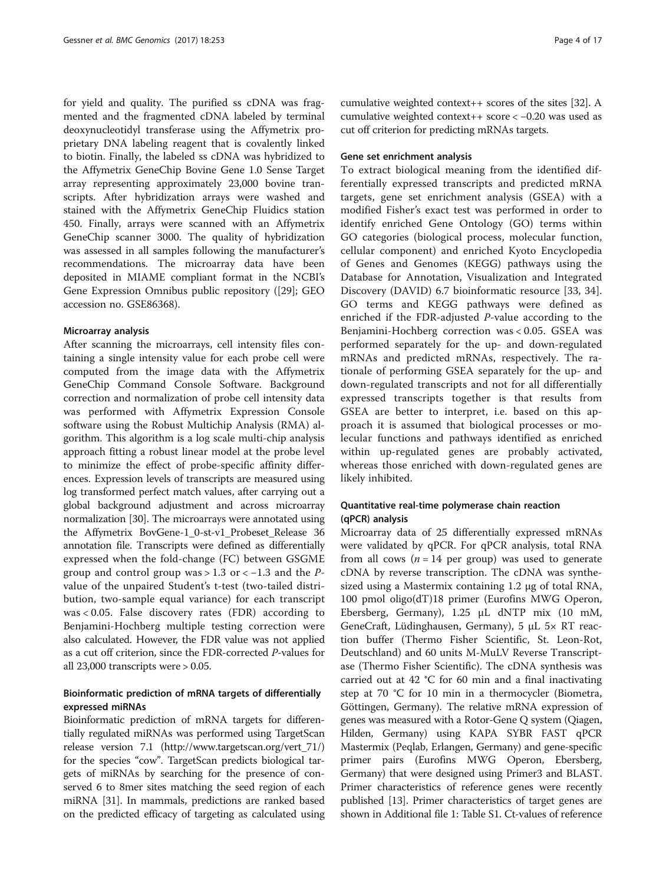for yield and quality. The purified ss cDNA was fragmented and the fragmented cDNA labeled by terminal deoxynucleotidyl transferase using the Affymetrix proprietary DNA labeling reagent that is covalently linked to biotin. Finally, the labeled ss cDNA was hybridized to the Affymetrix GeneChip Bovine Gene 1.0 Sense Target array representing approximately 23,000 bovine transcripts. After hybridization arrays were washed and stained with the Affymetrix GeneChip Fluidics station 450. Finally, arrays were scanned with an Affymetrix GeneChip scanner 3000. The quality of hybridization was assessed in all samples following the manufacturer's recommendations. The microarray data have been deposited in MIAME compliant format in the NCBI's Gene Expression Omnibus public repository ([\[29](#page-15-0)]; GEO accession no. GSE86368).

#### Microarray analysis

After scanning the microarrays, cell intensity files containing a single intensity value for each probe cell were computed from the image data with the Affymetrix GeneChip Command Console Software. Background correction and normalization of probe cell intensity data was performed with Affymetrix Expression Console software using the Robust Multichip Analysis (RMA) algorithm. This algorithm is a log scale multi-chip analysis approach fitting a robust linear model at the probe level to minimize the effect of probe-specific affinity differences. Expression levels of transcripts are measured using log transformed perfect match values, after carrying out a global background adjustment and across microarray normalization [\[30](#page-15-0)]. The microarrays were annotated using the Affymetrix BovGene-1\_0-st-v1\_Probeset\_Release 36 annotation file. Transcripts were defined as differentially expressed when the fold-change (FC) between GSGME group and control group was > 1.3 or  $<-1.3$  and the  $P$ value of the unpaired Student's t-test (two-tailed distribution, two-sample equal variance) for each transcript was < 0.05. False discovery rates (FDR) according to Benjamini-Hochberg multiple testing correction were also calculated. However, the FDR value was not applied as a cut off criterion, since the FDR-corrected P-values for all 23,000 transcripts were > 0.05.

## Bioinformatic prediction of mRNA targets of differentially expressed miRNAs

Bioinformatic prediction of mRNA targets for differentially regulated miRNAs was performed using TargetScan release version 7.1 ([http://www.targetscan.org/vert\\_71/](http://www.targetscan.org/vert_71/)) for the species "cow". TargetScan predicts biological targets of miRNAs by searching for the presence of conserved 6 to 8mer sites matching the seed region of each miRNA [[31](#page-15-0)]. In mammals, predictions are ranked based on the predicted efficacy of targeting as calculated using

cumulative weighted context++ scores of the sites [[32](#page-15-0)]. A cumulative weighted context++ score < −0.20 was used as cut off criterion for predicting mRNAs targets.

#### Gene set enrichment analysis

To extract biological meaning from the identified differentially expressed transcripts and predicted mRNA targets, gene set enrichment analysis (GSEA) with a modified Fisher's exact test was performed in order to identify enriched Gene Ontology (GO) terms within GO categories (biological process, molecular function, cellular component) and enriched Kyoto Encyclopedia of Genes and Genomes (KEGG) pathways using the Database for Annotation, Visualization and Integrated Discovery (DAVID) 6.7 bioinformatic resource [[33](#page-15-0), [34](#page-15-0)]. GO terms and KEGG pathways were defined as enriched if the FDR-adjusted P-value according to the Benjamini-Hochberg correction was < 0.05. GSEA was performed separately for the up- and down-regulated mRNAs and predicted mRNAs, respectively. The rationale of performing GSEA separately for the up- and down-regulated transcripts and not for all differentially expressed transcripts together is that results from GSEA are better to interpret, i.e. based on this approach it is assumed that biological processes or molecular functions and pathways identified as enriched within up-regulated genes are probably activated, whereas those enriched with down-regulated genes are likely inhibited.

## Quantitative real-time polymerase chain reaction (qPCR) analysis

Microarray data of 25 differentially expressed mRNAs were validated by qPCR. For qPCR analysis, total RNA from all cows ( $n = 14$  per group) was used to generate cDNA by reverse transcription. The cDNA was synthesized using a Mastermix containing 1.2 μg of total RNA, 100 pmol oligo(dT)18 primer (Eurofins MWG Operon, Ebersberg, Germany), 1.25 μL dNTP mix (10 mM, GeneCraft, Lüdinghausen, Germany), 5 μL 5× RT reaction buffer (Thermo Fisher Scientific, St. Leon-Rot, Deutschland) and 60 units M-MuLV Reverse Transcriptase (Thermo Fisher Scientific). The cDNA synthesis was carried out at 42 °C for 60 min and a final inactivating step at 70 °C for 10 min in a thermocycler (Biometra, Göttingen, Germany). The relative mRNA expression of genes was measured with a Rotor-Gene Q system (Qiagen, Hilden, Germany) using KAPA SYBR FAST qPCR Mastermix (Peqlab, Erlangen, Germany) and gene-specific primer pairs (Eurofins MWG Operon, Ebersberg, Germany) that were designed using Primer3 and BLAST. Primer characteristics of reference genes were recently published [\[13](#page-14-0)]. Primer characteristics of target genes are shown in Additional file [1](#page-13-0): Table S1. Ct-values of reference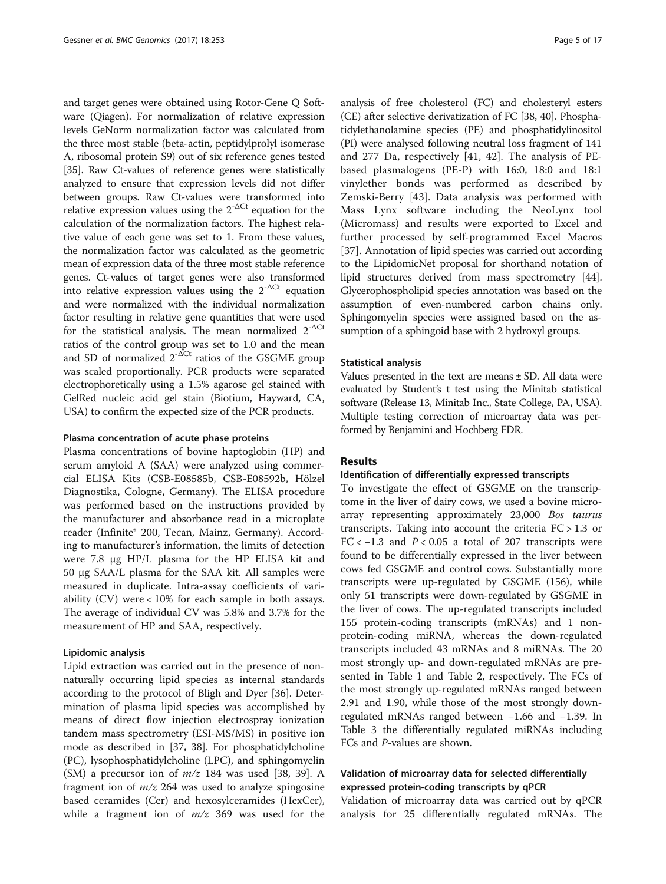and target genes were obtained using Rotor-Gene Q Software (Qiagen). For normalization of relative expression levels GeNorm normalization factor was calculated from the three most stable (beta-actin, peptidylprolyl isomerase A, ribosomal protein S9) out of six reference genes tested [[35](#page-15-0)]. Raw Ct-values of reference genes were statistically analyzed to ensure that expression levels did not differ between groups. Raw Ct-values were transformed into relative expression values using the  $2^{\cdot \Delta \text{C}t}$  equation for the calculation of the normalization factors. The highest relative value of each gene was set to 1. From these values, the normalization factor was calculated as the geometric mean of expression data of the three most stable reference genes. Ct-values of target genes were also transformed into relative expression values using the  $2^{-\Delta Ct}$  equation and were normalized with the individual normalization factor resulting in relative gene quantities that were used for the statistical analysis. The mean normalized  $2^{-\Delta Ct}$ ratios of the control group was set to 1.0 and the mean and SD of normalized  $2^{-\Delta Ct}$  ratios of the GSGME group was scaled proportionally. PCR products were separated electrophoretically using a 1.5% agarose gel stained with GelRed nucleic acid gel stain (Biotium, Hayward, CA, USA) to confirm the expected size of the PCR products.

#### Plasma concentration of acute phase proteins

Plasma concentrations of bovine haptoglobin (HP) and serum amyloid A (SAA) were analyzed using commercial ELISA Kits (CSB-E08585b, CSB-E08592b, Hölzel Diagnostika, Cologne, Germany). The ELISA procedure was performed based on the instructions provided by the manufacturer and absorbance read in a microplate reader (Infinite® 200, Tecan, Mainz, Germany). According to manufacturer's information, the limits of detection were 7.8 μg HP/L plasma for the HP ELISA kit and 50 μg SAA/L plasma for the SAA kit. All samples were measured in duplicate. Intra-assay coefficients of variability (CV) were < 10% for each sample in both assays. The average of individual CV was 5.8% and 3.7% for the measurement of HP and SAA, respectively.

#### Lipidomic analysis

Lipid extraction was carried out in the presence of nonnaturally occurring lipid species as internal standards according to the protocol of Bligh and Dyer [[36\]](#page-15-0). Determination of plasma lipid species was accomplished by means of direct flow injection electrospray ionization tandem mass spectrometry (ESI-MS/MS) in positive ion mode as described in [[37, 38\]](#page-15-0). For phosphatidylcholine (PC), lysophosphatidylcholine (LPC), and sphingomyelin (SM) a precursor ion of  $m/z$  184 was used [[38, 39\]](#page-15-0). A fragment ion of  $m/z$  264 was used to analyze spingosine based ceramides (Cer) and hexosylceramides (HexCer), while a fragment ion of  $m/z$  369 was used for the analysis of free cholesterol (FC) and cholesteryl esters (CE) after selective derivatization of FC [[38](#page-15-0), [40\]](#page-15-0). Phosphatidylethanolamine species (PE) and phosphatidylinositol (PI) were analysed following neutral loss fragment of 141 and 277 Da, respectively [\[41](#page-15-0), [42\]](#page-15-0). The analysis of PEbased plasmalogens (PE-P) with 16:0, 18:0 and 18:1 vinylether bonds was performed as described by Zemski-Berry [[43\]](#page-15-0). Data analysis was performed with Mass Lynx software including the NeoLynx tool (Micromass) and results were exported to Excel and further processed by self-programmed Excel Macros [[37\]](#page-15-0). Annotation of lipid species was carried out according to the LipidomicNet proposal for shorthand notation of lipid structures derived from mass spectrometry [[44](#page-15-0)]. Glycerophospholipid species annotation was based on the assumption of even-numbered carbon chains only. Sphingomyelin species were assigned based on the assumption of a sphingoid base with 2 hydroxyl groups.

#### Statistical analysis

Values presented in the text are means  $\pm$  SD. All data were evaluated by Student's t test using the Minitab statistical software (Release 13, Minitab Inc., State College, PA, USA). Multiple testing correction of microarray data was performed by Benjamini and Hochberg FDR.

#### Results

#### Identification of differentially expressed transcripts

To investigate the effect of GSGME on the transcriptome in the liver of dairy cows, we used a bovine microarray representing approximately 23,000 Bos taurus transcripts. Taking into account the criteria FC > 1.3 or FC <  $-1.3$  and  $P < 0.05$  a total of 207 transcripts were found to be differentially expressed in the liver between cows fed GSGME and control cows. Substantially more transcripts were up-regulated by GSGME (156), while only 51 transcripts were down-regulated by GSGME in the liver of cows. The up-regulated transcripts included 155 protein-coding transcripts (mRNAs) and 1 nonprotein-coding miRNA, whereas the down-regulated transcripts included 43 mRNAs and 8 miRNAs. The 20 most strongly up- and down-regulated mRNAs are presented in Table [1](#page-5-0) and Table [2](#page-6-0), respectively. The FCs of the most strongly up-regulated mRNAs ranged between 2.91 and 1.90, while those of the most strongly downregulated mRNAs ranged between −1.66 and −1.39. In Table [3](#page-6-0) the differentially regulated miRNAs including FCs and P-values are shown.

## Validation of microarray data for selected differentially expressed protein-coding transcripts by qPCR

Validation of microarray data was carried out by qPCR analysis for 25 differentially regulated mRNAs. The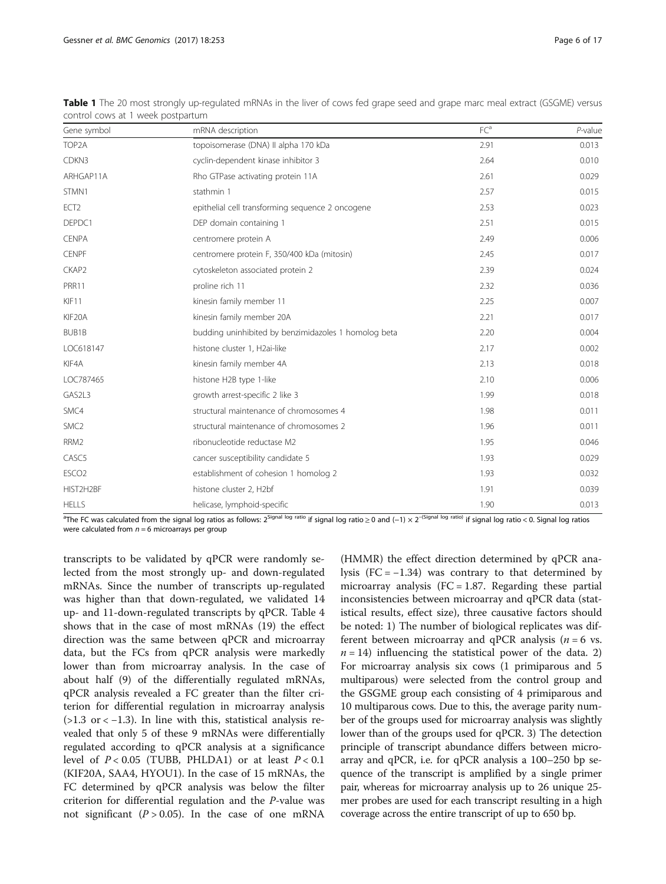| CONTENT COWS at I WEEK postpartum |                                                      |                 |                     |  |  |
|-----------------------------------|------------------------------------------------------|-----------------|---------------------|--|--|
| Gene symbol                       | mRNA description                                     | FC <sup>a</sup> | $P$ -value<br>0.013 |  |  |
| TOP2A                             | topoisomerase (DNA) Il alpha 170 kDa                 | 2.91            |                     |  |  |
| CDKN3                             | cyclin-dependent kinase inhibitor 3                  | 2.64            | 0.010               |  |  |
| ARHGAP11A                         | Rho GTPase activating protein 11A                    | 2.61            | 0.029               |  |  |
| STMN1                             | stathmin 1                                           | 2.57            | 0.015               |  |  |
| ECT <sub>2</sub>                  | epithelial cell transforming sequence 2 oncogene     | 2.53            | 0.023               |  |  |
| DEPDC1                            | DEP domain containing 1                              | 2.51            | 0.015               |  |  |
| <b>CENPA</b>                      | centromere protein A                                 | 2.49            | 0.006               |  |  |
| <b>CENPF</b>                      | centromere protein F, 350/400 kDa (mitosin)          | 2.45            | 0.017               |  |  |
| CKAP2                             | cytoskeleton associated protein 2                    | 2.39            | 0.024               |  |  |
| PRR11                             | proline rich 11                                      | 2.32            | 0.036               |  |  |
| KIF11                             | kinesin family member 11                             | 2.25            | 0.007               |  |  |
| KIF20A                            | kinesin family member 20A                            | 2.21            | 0.017               |  |  |
| BUB1B                             | budding uninhibited by benzimidazoles 1 homolog beta | 2.20            | 0.004               |  |  |
| LOC618147                         | histone cluster 1, H2ai-like                         | 2.17            | 0.002               |  |  |
| KIF4A                             | kinesin family member 4A                             | 2.13            | 0.018               |  |  |
| LOC787465                         | histone H2B type 1-like                              | 2.10            | 0.006               |  |  |
| GAS2L3                            | growth arrest-specific 2 like 3                      | 1.99            | 0.018               |  |  |
| SMC4                              | structural maintenance of chromosomes 4              | 1.98            | 0.011               |  |  |
| SMC <sub>2</sub>                  | structural maintenance of chromosomes 2              | 1.96            | 0.011               |  |  |
| RRM2                              | ribonucleotide reductase M2                          | 1.95            | 0.046               |  |  |
| CASC5                             | cancer susceptibility candidate 5                    | 1.93            | 0.029               |  |  |
| ESCO <sub>2</sub>                 | establishment of cohesion 1 homolog 2                | 1.93            | 0.032               |  |  |
| HIST2H2BF                         | histone cluster 2, H2bf                              | 1.91            | 0.039               |  |  |
| <b>HELLS</b>                      | helicase, lymphoid-specific                          | 1.90            | 0.013               |  |  |

<span id="page-5-0"></span>Table 1 The 20 most strongly up-regulated mRNAs in the liver of cows fed grape seed and grape marc meal extract (GSGME) versus control cows at 1 week postpartum

<sup>a</sup>The FC was calculated from the signal log ratios as follows: 2<sup>Signal log ratio</sup> if signal log ratio ≥ 0 and (−1) × 2<sup>–(Signal log ratio) if signal log ratio < 0. Signal log ratios</sup> were calculated from  $n = 6$  microarrays per group

transcripts to be validated by qPCR were randomly selected from the most strongly up- and down-regulated mRNAs. Since the number of transcripts up-regulated was higher than that down-regulated, we validated 14 up- and 11-down-regulated transcripts by qPCR. Table [4](#page-7-0) shows that in the case of most mRNAs (19) the effect direction was the same between qPCR and microarray data, but the FCs from qPCR analysis were markedly lower than from microarray analysis. In the case of about half (9) of the differentially regulated mRNAs, qPCR analysis revealed a FC greater than the filter criterion for differential regulation in microarray analysis  $(>1.3 \text{ or } < -1.3)$ . In line with this, statistical analysis revealed that only 5 of these 9 mRNAs were differentially regulated according to qPCR analysis at a significance level of  $P < 0.05$  (TUBB, PHLDA1) or at least  $P < 0.1$ (KIF20A, SAA4, HYOU1). In the case of 15 mRNAs, the FC determined by qPCR analysis was below the filter criterion for differential regulation and the P-value was not significant ( $P > 0.05$ ). In the case of one mRNA

(HMMR) the effect direction determined by qPCR analysis  $(FC = -1.34)$  was contrary to that determined by microarray analysis ( $FC = 1.87$ . Regarding these partial inconsistencies between microarray and qPCR data (statistical results, effect size), three causative factors should be noted: 1) The number of biological replicates was different between microarray and qPCR analysis ( $n = 6$  vs.  $n = 14$ ) influencing the statistical power of the data. 2) For microarray analysis six cows (1 primiparous and 5 multiparous) were selected from the control group and the GSGME group each consisting of 4 primiparous and 10 multiparous cows. Due to this, the average parity number of the groups used for microarray analysis was slightly lower than of the groups used for qPCR. 3) The detection principle of transcript abundance differs between microarray and qPCR, i.e. for qPCR analysis a 100–250 bp sequence of the transcript is amplified by a single primer pair, whereas for microarray analysis up to 26 unique 25 mer probes are used for each transcript resulting in a high coverage across the entire transcript of up to 650 bp.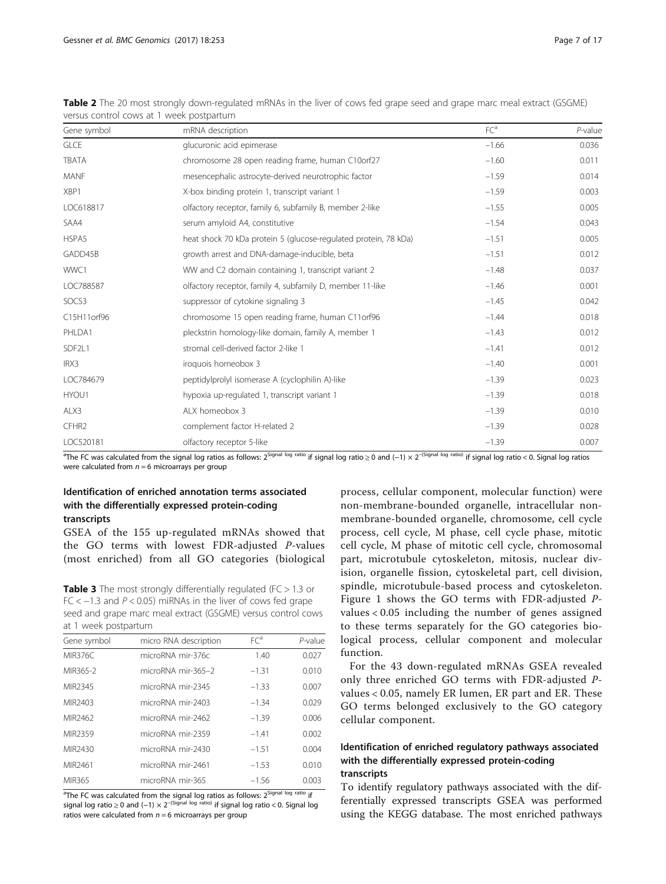|                   | VEISUS CONTUOI COWS AL I WEEN POSIPARUNTI                       |                 |            |
|-------------------|-----------------------------------------------------------------|-----------------|------------|
| Gene symbol       | mRNA description                                                | FC <sup>a</sup> | $P$ -value |
| <b>GLCE</b>       | glucuronic acid epimerase                                       | $-1.66$         | 0.036      |
| <b>TBATA</b>      | chromosome 28 open reading frame, human C10orf27                | $-1.60$         | 0.011      |
| <b>MANF</b>       | mesencephalic astrocyte-derived neurotrophic factor             | $-1.59$         | 0.014      |
| XBP1              | X-box binding protein 1, transcript variant 1                   | $-1.59$         | 0.003      |
| LOC618817         | olfactory receptor, family 6, subfamily B, member 2-like        | $-1.55$         | 0.005      |
| SAA4              | serum amyloid A4, constitutive                                  | $-1.54$         | 0.043      |
| HSPA5             | heat shock 70 kDa protein 5 (glucose-regulated protein, 78 kDa) | $-1.51$         | 0.005      |
| GADD45B           | growth arrest and DNA-damage-inducible, beta                    | $-1.51$         | 0.012      |
| WWC1              | WW and C2 domain containing 1, transcript variant 2             | $-1.48$         | 0.037      |
| LOC788587         | olfactory receptor, family 4, subfamily D, member 11-like       | $-1.46$         | 0.001      |
| SOCS3             | suppressor of cytokine signaling 3                              | $-1.45$         | 0.042      |
| C15H11orf96       | chromosome 15 open reading frame, human C11orf96                | $-1.44$         | 0.018      |
| PHLDA1            | pleckstrin homology-like domain, family A, member 1             | $-1.43$         | 0.012      |
| SDF2L1            | stromal cell-derived factor 2-like 1                            | $-1.41$         | 0.012      |
| IRX3              | iroquois homeobox 3                                             | $-1.40$         | 0.001      |
| LOC784679         | peptidylprolyl isomerase A (cyclophilin A)-like                 | $-1.39$         | 0.023      |
| HYOU1             | hypoxia up-regulated 1, transcript variant 1                    | $-1.39$         | 0.018      |
| ALX3              | ALX homeobox 3                                                  | $-1.39$         | 0.010      |
| CFHR <sub>2</sub> | complement factor H-related 2                                   | $-1.39$         | 0.028      |
| LOC520181         | olfactory receptor 5-like                                       | $-1.39$         | 0.007      |

<span id="page-6-0"></span>Table 2 The 20 most strongly down-regulated mRNAs in the liver of cows fed grape seed and grape marc meal extract (GSGME) versus control cows at 1 week postpartum

<sup>a</sup>The FC was calculated from the signal log ratios as follows: 2<sup>Signal log ratio</sup> if signal log ratio ≥ 0 and (−1) × 2<sup>–(Signal log <sup>ratio</sup>) if signal log ratio < 0. Signal log ratios</sup> were calculated from  $n = 6$  microarrays per group

## Identification of enriched annotation terms associated with the differentially expressed protein-coding transcripts

GSEA of the 155 up-regulated mRNAs showed that the GO terms with lowest FDR-adjusted P-values (most enriched) from all GO categories (biological

**Table 3** The most strongly differentially regulated ( $FC > 1.3$  or FC  $<-1.3$  and  $P < 0.05$ ) miRNAs in the liver of cows fed grape seed and grape marc meal extract (GSGME) versus control cows at 1 week postpartum

| Gene symbol         | micro RNA description | FC <sup>a</sup> | P-value |
|---------------------|-----------------------|-----------------|---------|
| MIR376C             | microRNA mir-376c     | 1.40            | 0.027   |
| MIR365-2            | microRNA mir-365-2    | $-1.31$         | 0.010   |
| MIR <sub>2345</sub> | microRNA mir-2345     | $-1.33$         | 0.007   |
| MIR <sub>2403</sub> | microRNA mir-2403     | $-1.34$         | 0.029   |
| MIR <sub>2462</sub> | microRNA mir-2462     | $-1.39$         | 0.006   |
| MIR2359             | microRNA mir-2359     | $-1.41$         | 0.002   |
| MIR <sub>2430</sub> | microRNA mir-2430     | $-1.51$         | 0.004   |
| MIR <sub>2461</sub> | microRNA mir-2461     | $-1.53$         | 0.010   |
| MIR365              | microRNA mir-365      | $-1.56$         | 0.003   |

<sup>a</sup>The FC was calculated from the signal log ratios as follows: 2<sup>Signal log ratio</sup> if signal log ratio ≥ 0 and (−1) × 2<sup>–(Signal log ratio)</sup> if signal log ratio < 0. Signal log ratios were calculated from  $n = 6$  microarrays per group

process, cellular component, molecular function) were non-membrane-bounded organelle, intracellular nonmembrane-bounded organelle, chromosome, cell cycle process, cell cycle, M phase, cell cycle phase, mitotic cell cycle, M phase of mitotic cell cycle, chromosomal part, microtubule cytoskeleton, mitosis, nuclear division, organelle fission, cytoskeletal part, cell division, spindle, microtubule-based process and cytoskeleton. Figure [1](#page-8-0) shows the GO terms with FDR-adjusted Pvalues < 0.05 including the number of genes assigned to these terms separately for the GO categories biological process, cellular component and molecular function.

For the 43 down-regulated mRNAs GSEA revealed only three enriched GO terms with FDR-adjusted Pvalues < 0.05, namely ER lumen, ER part and ER. These GO terms belonged exclusively to the GO category cellular component.

## Identification of enriched regulatory pathways associated with the differentially expressed protein-coding transcripts

To identify regulatory pathways associated with the differentially expressed transcripts GSEA was performed using the KEGG database. The most enriched pathways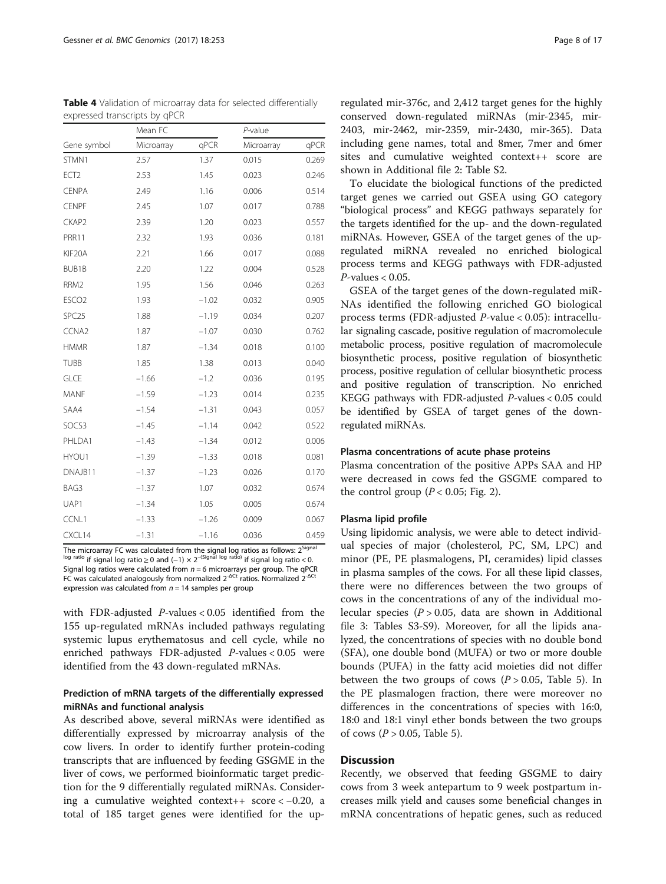The microarray FC was calculated from the signal log ratios as follows: 2<sup>Signal</sup> l<sup>og ratio</sup> if signal log ratio ≥ 0 and (−1) × 2<sup>-(Signal log ratio)</sup> if signal log ratio < 0. Signal log ratios were calculated from  $n = 6$  microarrays per group. The qPCR FC was calculated analogously from normalized  $2^{-\Delta ct}$  ratios. Normalized  $2^{-\Delta ct}$ expression was calculated from  $n = 14$  samples per group

with FDR-adjusted P-values < 0.05 identified from the 155 up-regulated mRNAs included pathways regulating systemic lupus erythematosus and cell cycle, while no enriched pathways FDR-adjusted P-values < 0.05 were identified from the 43 down-regulated mRNAs.

## Prediction of mRNA targets of the differentially expressed miRNAs and functional analysis

As described above, several miRNAs were identified as differentially expressed by microarray analysis of the cow livers. In order to identify further protein-coding transcripts that are influenced by feeding GSGME in the liver of cows, we performed bioinformatic target prediction for the 9 differentially regulated miRNAs. Considering a cumulative weighted context++  $score < -0.20$ , a total of 185 target genes were identified for the up-

regulated mir-376c, and 2,412 target genes for the highly conserved down-regulated miRNAs (mir-2345, mir-2403, mir-2462, mir-2359, mir-2430, mir-365). Data including gene names, total and 8mer, 7mer and 6mer sites and cumulative weighted context++ score are shown in Additional file [2](#page-13-0): Table S2.

To elucidate the biological functions of the predicted target genes we carried out GSEA using GO category "biological process" and KEGG pathways separately for the targets identified for the up- and the down-regulated miRNAs. However, GSEA of the target genes of the upregulated miRNA revealed no enriched biological process terms and KEGG pathways with FDR-adjusted  $P$ -values < 0.05.

GSEA of the target genes of the down-regulated miR-NAs identified the following enriched GO biological process terms (FDR-adjusted P-value < 0.05): intracellular signaling cascade, positive regulation of macromolecule metabolic process, positive regulation of macromolecule biosynthetic process, positive regulation of biosynthetic process, positive regulation of cellular biosynthetic process and positive regulation of transcription. No enriched KEGG pathways with FDR-adjusted P-values < 0.05 could be identified by GSEA of target genes of the downregulated miRNAs.

## Plasma concentrations of acute phase proteins

Plasma concentration of the positive APPs SAA and HP were decreased in cows fed the GSGME compared to the control group ( $P < 0.05$ ; Fig. [2\)](#page-9-0).

### Plasma lipid profile

Using lipidomic analysis, we were able to detect individual species of major (cholesterol, PC, SM, LPC) and minor (PE, PE plasmalogens, PI, ceramides) lipid classes in plasma samples of the cows. For all these lipid classes, there were no differences between the two groups of cows in the concentrations of any of the individual molecular species ( $P > 0.05$ , data are shown in Additional file [3:](#page-13-0) Tables S3-S9). Moreover, for all the lipids analyzed, the concentrations of species with no double bond (SFA), one double bond (MUFA) or two or more double bounds (PUFA) in the fatty acid moieties did not differ between the two groups of cows  $(P > 0.05,$  Table [5](#page-10-0)). In the PE plasmalogen fraction, there were moreover no differences in the concentrations of species with 16:0, 18:0 and 18:1 vinyl ether bonds between the two groups of cows ( $P > 0.05$ , Table [5\)](#page-10-0).

## **Discussion**

Recently, we observed that feeding GSGME to dairy cows from 3 week antepartum to 9 week postpartum increases milk yield and causes some beneficial changes in mRNA concentrations of hepatic genes, such as reduced

<span id="page-7-0"></span>Table 4 Validation of microarray data for selected differentially expressed transcripts by qPCR

|                   | Mean FC    |         | P-value    |       |  |
|-------------------|------------|---------|------------|-------|--|
| Gene symbol       | Microarray | qPCR    | Microarray | qPCR  |  |
| STMN1             | 2.57       | 1.37    | 0.015      | 0.269 |  |
| ECT <sub>2</sub>  | 2.53       | 1.45    | 0.023      | 0.246 |  |
| <b>CENPA</b>      | 2.49       | 1.16    | 0.006      | 0.514 |  |
| <b>CENPF</b>      | 2.45       | 1.07    | 0.017      | 0.788 |  |
| CKAP2             | 2.39       | 1.20    | 0.023      | 0.557 |  |
| <b>PRR11</b>      | 2.32       | 1.93    | 0.036      | 0.181 |  |
| KIF20A            | 2.21       | 1.66    | 0.017      | 0.088 |  |
| BUB1B             | 2.20       | 1.22    | 0.004      | 0.528 |  |
| RRM2              | 1.95       | 1.56    | 0.046      | 0.263 |  |
| ESCO <sub>2</sub> | 1.93       | $-1.02$ | 0.032      | 0.905 |  |
| SPC <sub>25</sub> | 1.88       | $-1.19$ | 0.034      | 0.207 |  |
| CCNA2             | 1.87       | $-1.07$ | 0.030      | 0.762 |  |
| <b>HMMR</b>       | 1.87       | $-1.34$ | 0.018      | 0.100 |  |
| <b>TUBB</b>       | 1.85       | 1.38    | 0.013      | 0.040 |  |
| GLCE              | $-1.66$    | $-1.2$  | 0.036      | 0.195 |  |
| MANF              | $-1.59$    | $-1.23$ | 0.014      | 0.235 |  |
| SAA4              | $-1.54$    | $-1.31$ | 0.043      | 0.057 |  |
| SOCS3             | $-1.45$    | $-1.14$ | 0.042      | 0.522 |  |
| PHLDA1            | $-1.43$    | $-1.34$ | 0.012      | 0.006 |  |
| HYOU1             | $-1.39$    | $-1.33$ | 0.018      | 0.081 |  |
| DNAJB11           | $-1.37$    | $-1.23$ | 0.026      | 0.170 |  |
| BAG3              | $-1.37$    | 1.07    | 0.032      | 0.674 |  |
| UAP1              | $-1.34$    | 1.05    | 0.005      | 0.674 |  |
| CCNL1             | $-1.33$    | $-1.26$ | 0.009      | 0.067 |  |
| CXCL14            | $-1.31$    | $-1.16$ | 0.036      | 0.459 |  |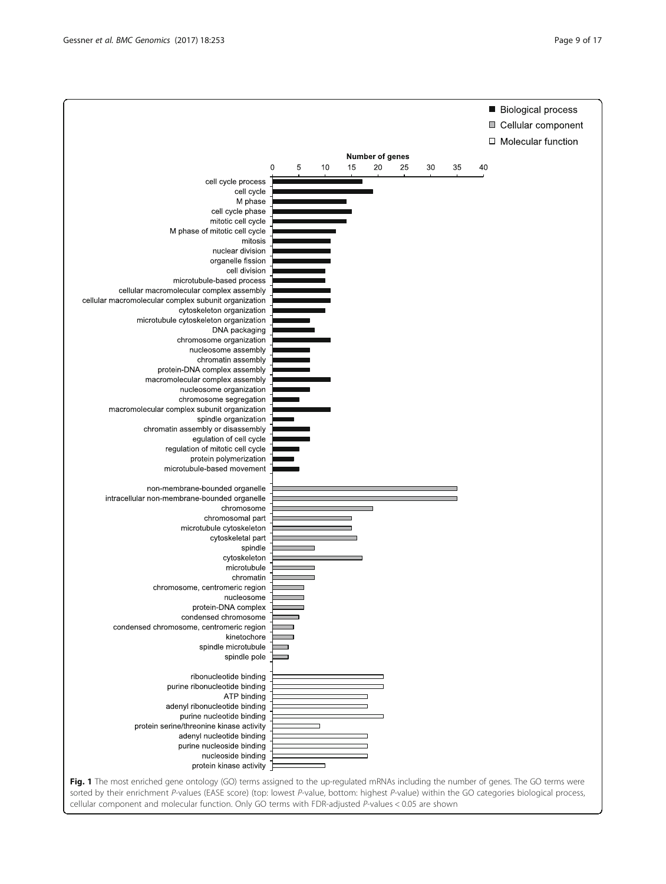<span id="page-8-0"></span>

Fig. 1 The most enriched gene ontology (GO) terms assigned to the up-regulated mRNAs including the number of genes. The GO terms were sorted by their enrichment P-values (EASE score) (top: lowest P-value, bottom: highest P-value) within the GO categories biological process, cellular component and molecular function. Only GO terms with FDR-adjusted P-values < 0.05 are shown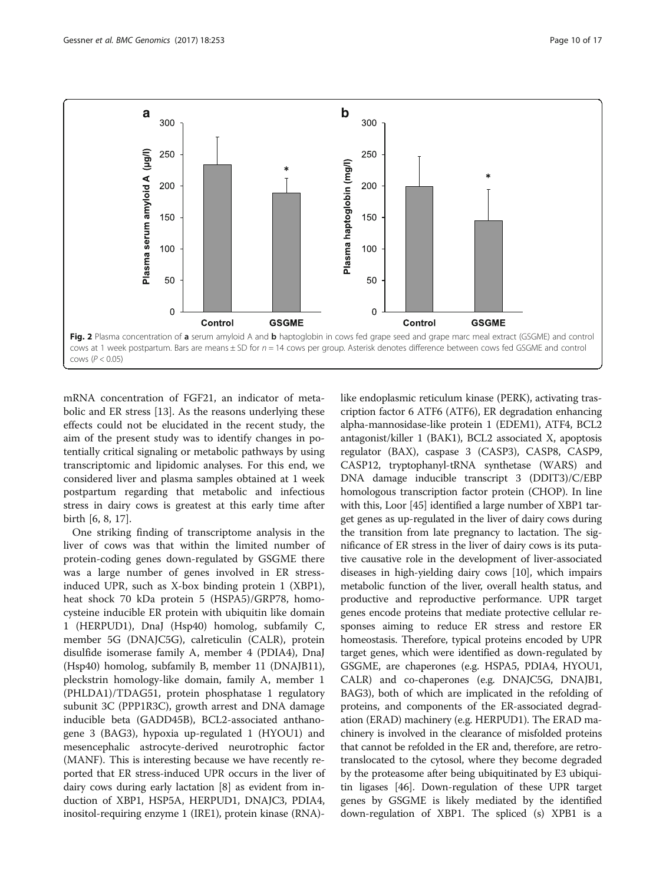<span id="page-9-0"></span>

mRNA concentration of FGF21, an indicator of metabolic and ER stress [\[13\]](#page-14-0). As the reasons underlying these effects could not be elucidated in the recent study, the aim of the present study was to identify changes in potentially critical signaling or metabolic pathways by using transcriptomic and lipidomic analyses. For this end, we considered liver and plasma samples obtained at 1 week postpartum regarding that metabolic and infectious stress in dairy cows is greatest at this early time after birth [[6, 8, 17](#page-14-0)].

One striking finding of transcriptome analysis in the liver of cows was that within the limited number of protein-coding genes down-regulated by GSGME there was a large number of genes involved in ER stressinduced UPR, such as X-box binding protein 1 (XBP1), heat shock 70 kDa protein 5 (HSPA5)/GRP78, homocysteine inducible ER protein with ubiquitin like domain 1 (HERPUD1), DnaJ (Hsp40) homolog, subfamily C, member 5G (DNAJC5G), calreticulin (CALR), protein disulfide isomerase family A, member 4 (PDIA4), DnaJ (Hsp40) homolog, subfamily B, member 11 (DNAJB11), pleckstrin homology-like domain, family A, member 1 (PHLDA1)/TDAG51, protein phosphatase 1 regulatory subunit 3C (PPP1R3C), growth arrest and DNA damage inducible beta (GADD45B), BCL2-associated anthanogene 3 (BAG3), hypoxia up-regulated 1 (HYOU1) and mesencephalic astrocyte-derived neurotrophic factor (MANF). This is interesting because we have recently reported that ER stress-induced UPR occurs in the liver of dairy cows during early lactation [[8\]](#page-14-0) as evident from induction of XBP1, HSP5A, HERPUD1, DNAJC3, PDIA4, inositol-requiring enzyme 1 (IRE1), protein kinase (RNA)- like endoplasmic reticulum kinase (PERK), activating trascription factor 6 ATF6 (ATF6), ER degradation enhancing alpha-mannosidase-like protein 1 (EDEM1), ATF4, BCL2 antagonist/killer 1 (BAK1), BCL2 associated X, apoptosis regulator (BAX), caspase 3 (CASP3), CASP8, CASP9, CASP12, tryptophanyl-tRNA synthetase (WARS) and DNA damage inducible transcript 3 (DDIT3)/C/EBP homologous transcription factor protein (CHOP). In line with this, Loor [\[45](#page-15-0)] identified a large number of XBP1 target genes as up-regulated in the liver of dairy cows during the transition from late pregnancy to lactation. The significance of ER stress in the liver of dairy cows is its putative causative role in the development of liver-associated diseases in high-yielding dairy cows [\[10\]](#page-14-0), which impairs metabolic function of the liver, overall health status, and productive and reproductive performance. UPR target genes encode proteins that mediate protective cellular responses aiming to reduce ER stress and restore ER homeostasis. Therefore, typical proteins encoded by UPR target genes, which were identified as down-regulated by GSGME, are chaperones (e.g. HSPA5, PDIA4, HYOU1, CALR) and co-chaperones (e.g. DNAJC5G, DNAJB1, BAG3), both of which are implicated in the refolding of proteins, and components of the ER-associated degradation (ERAD) machinery (e.g. HERPUD1). The ERAD machinery is involved in the clearance of misfolded proteins that cannot be refolded in the ER and, therefore, are retrotranslocated to the cytosol, where they become degraded by the proteasome after being ubiquitinated by E3 ubiquitin ligases [\[46\]](#page-15-0). Down-regulation of these UPR target genes by GSGME is likely mediated by the identified down-regulation of XBP1. The spliced (s) XPB1 is a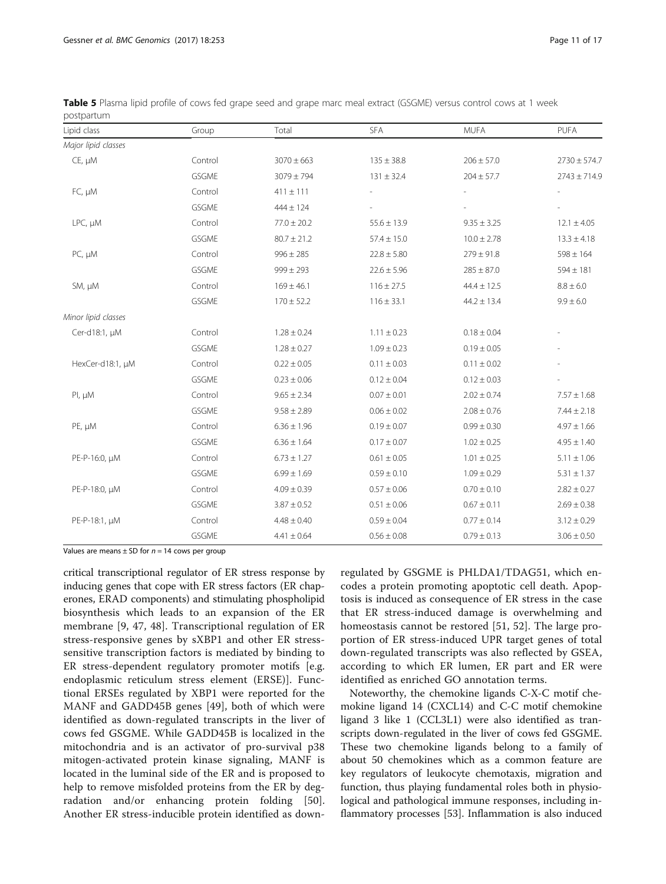| Lipid class         | Group        | Total           | <b>SFA</b>      | MUFA            | PUFA             |
|---------------------|--------------|-----------------|-----------------|-----------------|------------------|
| Major lipid classes |              |                 |                 |                 |                  |
| $CE, \mu M$         | Control      | $3070 \pm 663$  | $135 \pm 38.8$  | $206 \pm 57.0$  | $2730 \pm 574.7$ |
|                     | GSGME        | $3079 \pm 794$  | $131 \pm 32.4$  | $204 \pm 57.7$  | $2743 \pm 714.9$ |
| FC, µM              | Control      | $411 \pm 111$   |                 |                 |                  |
|                     | GSGME        | $444 \pm 124$   |                 |                 |                  |
| LPC, µM             | Control      | $77.0 \pm 20.2$ | $55.6 \pm 13.9$ | $9.35 \pm 3.25$ | $12.1 \pm 4.05$  |
|                     | GSGME        | $80.7 \pm 21.2$ | $57.4 \pm 15.0$ | $10.0 \pm 2.78$ | $13.3 \pm 4.18$  |
| PC, µM              | Control      | $996 \pm 285$   | $22.8 \pm 5.80$ | $279 \pm 91.8$  | $598 \pm 164$    |
|                     | GSGME        | $999 \pm 293$   | $22.6 \pm 5.96$ | $285 \pm 87.0$  | $594 \pm 181$    |
| SM, µM              | Control      | $169 \pm 46.1$  | $116 \pm 27.5$  | $44.4 \pm 12.5$ | $8.8 \pm 6.0$    |
|                     | GSGME        | $170 \pm 52.2$  | $116 \pm 33.1$  | $44.2 \pm 13.4$ | $9.9 \pm 6.0$    |
| Minor lipid classes |              |                 |                 |                 |                  |
| Cer-d18:1, µM       | Control      | $1.28 \pm 0.24$ | $1.11 \pm 0.23$ | $0.18 \pm 0.04$ |                  |
|                     | <b>GSGME</b> | $1.28 \pm 0.27$ | $1.09 \pm 0.23$ | $0.19 \pm 0.05$ |                  |
| HexCer-d18:1, µM    | Control      | $0.22 \pm 0.05$ | $0.11 \pm 0.03$ | $0.11 \pm 0.02$ |                  |
|                     | GSGME        | $0.23 \pm 0.06$ | $0.12 \pm 0.04$ | $0.12 \pm 0.03$ |                  |
| PI, µM              | Control      | $9.65 \pm 2.34$ | $0.07 \pm 0.01$ | $2.02 \pm 0.74$ | $7.57 \pm 1.68$  |
|                     | GSGME        | $9.58 \pm 2.89$ | $0.06 \pm 0.02$ | $2.08 \pm 0.76$ | $7.44 \pm 2.18$  |
| PE, µM              | Control      | $6.36 \pm 1.96$ | $0.19 \pm 0.07$ | $0.99 \pm 0.30$ | $4.97 \pm 1.66$  |
|                     | GSGME        | $6.36 \pm 1.64$ | $0.17 \pm 0.07$ | $1.02 \pm 0.25$ | $4.95 \pm 1.40$  |
| PE-P-16:0, µM       | Control      | $6.73 \pm 1.27$ | $0.61 \pm 0.05$ | $1.01 \pm 0.25$ | $5.11 \pm 1.06$  |
|                     | GSGME        | $6.99 \pm 1.69$ | $0.59 \pm 0.10$ | $1.09 \pm 0.29$ | $5.31 \pm 1.37$  |
| PE-P-18:0, µM       | Control      | $4.09 \pm 0.39$ | $0.57 \pm 0.06$ | $0.70 \pm 0.10$ | $2.82 \pm 0.27$  |
|                     | <b>GSGME</b> | $3.87 \pm 0.52$ | $0.51 \pm 0.06$ | $0.67 \pm 0.11$ | $2.69 \pm 0.38$  |
| PE-P-18:1, µM       | Control      | $4.48 \pm 0.40$ | $0.59 \pm 0.04$ | $0.77 \pm 0.14$ | $3.12 \pm 0.29$  |
|                     | <b>GSGME</b> | $4.41 \pm 0.64$ | $0.56 \pm 0.08$ | $0.79 \pm 0.13$ | $3.06 \pm 0.50$  |

<span id="page-10-0"></span>Table 5 Plasma lipid profile of cows fed grape seed and grape marc meal extract (GSGME) versus control cows at 1 week postpartum

Values are means  $\pm$  SD for  $n = 14$  cows per group

critical transcriptional regulator of ER stress response by inducing genes that cope with ER stress factors (ER chaperones, ERAD components) and stimulating phospholipid biosynthesis which leads to an expansion of the ER membrane [[9](#page-14-0), [47, 48\]](#page-15-0). Transcriptional regulation of ER stress-responsive genes by sXBP1 and other ER stresssensitive transcription factors is mediated by binding to ER stress-dependent regulatory promoter motifs [e.g. endoplasmic reticulum stress element (ERSE)]. Functional ERSEs regulated by XBP1 were reported for the MANF and GADD45B genes [[49\]](#page-15-0), both of which were identified as down-regulated transcripts in the liver of cows fed GSGME. While GADD45B is localized in the mitochondria and is an activator of pro-survival p38 mitogen-activated protein kinase signaling, MANF is located in the luminal side of the ER and is proposed to help to remove misfolded proteins from the ER by degradation and/or enhancing protein folding [\[50](#page-15-0)]. Another ER stress-inducible protein identified as down-

regulated by GSGME is PHLDA1/TDAG51, which encodes a protein promoting apoptotic cell death. Apoptosis is induced as consequence of ER stress in the case that ER stress-induced damage is overwhelming and homeostasis cannot be restored [[51, 52](#page-15-0)]. The large proportion of ER stress-induced UPR target genes of total down-regulated transcripts was also reflected by GSEA, according to which ER lumen, ER part and ER were identified as enriched GO annotation terms.

Noteworthy, the chemokine ligands C-X-C motif chemokine ligand 14 (CXCL14) and C-C motif chemokine ligand 3 like 1 (CCL3L1) were also identified as transcripts down-regulated in the liver of cows fed GSGME. These two chemokine ligands belong to a family of about 50 chemokines which as a common feature are key regulators of leukocyte chemotaxis, migration and function, thus playing fundamental roles both in physiological and pathological immune responses, including inflammatory processes [[53\]](#page-15-0). Inflammation is also induced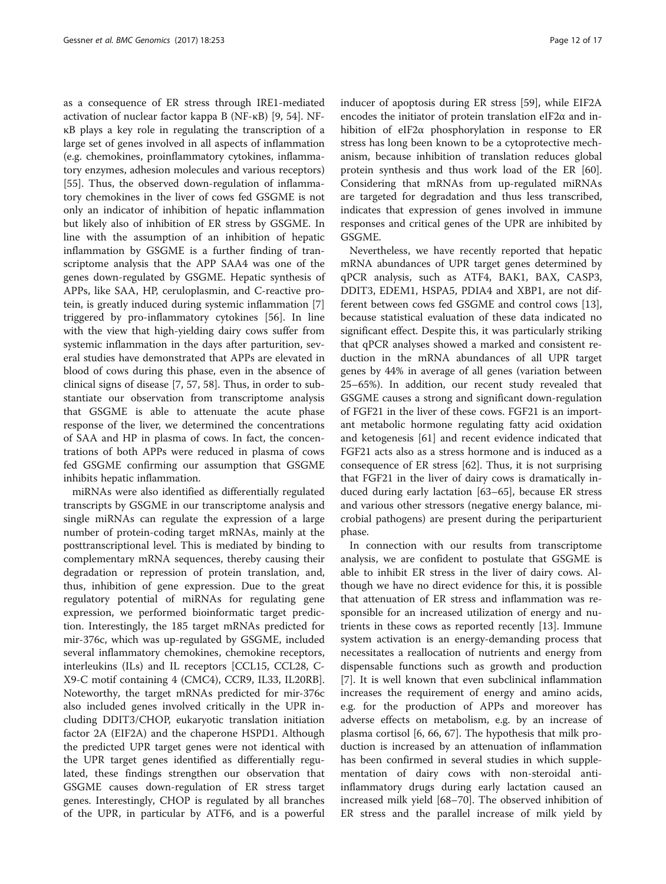as a consequence of ER stress through IRE1-mediated activation of nuclear factor kappa B (NF-κB) [\[9,](#page-14-0) [54\]](#page-15-0). NFκB plays a key role in regulating the transcription of a large set of genes involved in all aspects of inflammation (e.g. chemokines, proinflammatory cytokines, inflammatory enzymes, adhesion molecules and various receptors) [[55\]](#page-15-0). Thus, the observed down-regulation of inflammatory chemokines in the liver of cows fed GSGME is not only an indicator of inhibition of hepatic inflammation but likely also of inhibition of ER stress by GSGME. In line with the assumption of an inhibition of hepatic inflammation by GSGME is a further finding of transcriptome analysis that the APP SAA4 was one of the genes down-regulated by GSGME. Hepatic synthesis of APPs, like SAA, HP, ceruloplasmin, and C-reactive protein, is greatly induced during systemic inflammation [\[7](#page-14-0)] triggered by pro-inflammatory cytokines [[56\]](#page-15-0). In line with the view that high-yielding dairy cows suffer from systemic inflammation in the days after parturition, several studies have demonstrated that APPs are elevated in blood of cows during this phase, even in the absence of clinical signs of disease [[7,](#page-14-0) [57, 58\]](#page-15-0). Thus, in order to substantiate our observation from transcriptome analysis that GSGME is able to attenuate the acute phase response of the liver, we determined the concentrations of SAA and HP in plasma of cows. In fact, the concentrations of both APPs were reduced in plasma of cows fed GSGME confirming our assumption that GSGME inhibits hepatic inflammation.

miRNAs were also identified as differentially regulated transcripts by GSGME in our transcriptome analysis and single miRNAs can regulate the expression of a large number of protein-coding target mRNAs, mainly at the posttranscriptional level. This is mediated by binding to complementary mRNA sequences, thereby causing their degradation or repression of protein translation, and, thus, inhibition of gene expression. Due to the great regulatory potential of miRNAs for regulating gene expression, we performed bioinformatic target prediction. Interestingly, the 185 target mRNAs predicted for mir-376c, which was up-regulated by GSGME, included several inflammatory chemokines, chemokine receptors, interleukins (ILs) and IL receptors [CCL15, CCL28, C-X9-C motif containing 4 (CMC4), CCR9, IL33, IL20RB]. Noteworthy, the target mRNAs predicted for mir-376c also included genes involved critically in the UPR including DDIT3/CHOP, eukaryotic translation initiation factor 2A (EIF2A) and the chaperone HSPD1. Although the predicted UPR target genes were not identical with the UPR target genes identified as differentially regulated, these findings strengthen our observation that GSGME causes down-regulation of ER stress target genes. Interestingly, CHOP is regulated by all branches of the UPR, in particular by ATF6, and is a powerful inducer of apoptosis during ER stress [[59](#page-15-0)], while EIF2A encodes the initiator of protein translation eIF2 $\alpha$  and inhibition of eIF2α phosphorylation in response to ER stress has long been known to be a cytoprotective mechanism, because inhibition of translation reduces global protein synthesis and thus work load of the ER [\[60](#page-15-0)]. Considering that mRNAs from up-regulated miRNAs are targeted for degradation and thus less transcribed, indicates that expression of genes involved in immune responses and critical genes of the UPR are inhibited by GSGME.

Nevertheless, we have recently reported that hepatic mRNA abundances of UPR target genes determined by qPCR analysis, such as ATF4, BAK1, BAX, CASP3, DDIT3, EDEM1, HSPA5, PDIA4 and XBP1, are not different between cows fed GSGME and control cows [\[13](#page-14-0)], because statistical evaluation of these data indicated no significant effect. Despite this, it was particularly striking that qPCR analyses showed a marked and consistent reduction in the mRNA abundances of all UPR target genes by 44% in average of all genes (variation between 25–65%). In addition, our recent study revealed that GSGME causes a strong and significant down-regulation of FGF21 in the liver of these cows. FGF21 is an important metabolic hormone regulating fatty acid oxidation and ketogenesis [\[61\]](#page-15-0) and recent evidence indicated that FGF21 acts also as a stress hormone and is induced as a consequence of ER stress [\[62](#page-15-0)]. Thus, it is not surprising that FGF21 in the liver of dairy cows is dramatically induced during early lactation [[63](#page-15-0)–[65](#page-15-0)], because ER stress and various other stressors (negative energy balance, microbial pathogens) are present during the periparturient phase.

In connection with our results from transcriptome analysis, we are confident to postulate that GSGME is able to inhibit ER stress in the liver of dairy cows. Although we have no direct evidence for this, it is possible that attenuation of ER stress and inflammation was responsible for an increased utilization of energy and nutrients in these cows as reported recently [[13\]](#page-14-0). Immune system activation is an energy-demanding process that necessitates a reallocation of nutrients and energy from dispensable functions such as growth and production [[7\]](#page-14-0). It is well known that even subclinical inflammation increases the requirement of energy and amino acids, e.g. for the production of APPs and moreover has adverse effects on metabolism, e.g. by an increase of plasma cortisol [[6,](#page-14-0) [66, 67\]](#page-15-0). The hypothesis that milk production is increased by an attenuation of inflammation has been confirmed in several studies in which supplementation of dairy cows with non-steroidal antiinflammatory drugs during early lactation caused an increased milk yield [[68](#page-15-0)–[70](#page-15-0)]. The observed inhibition of ER stress and the parallel increase of milk yield by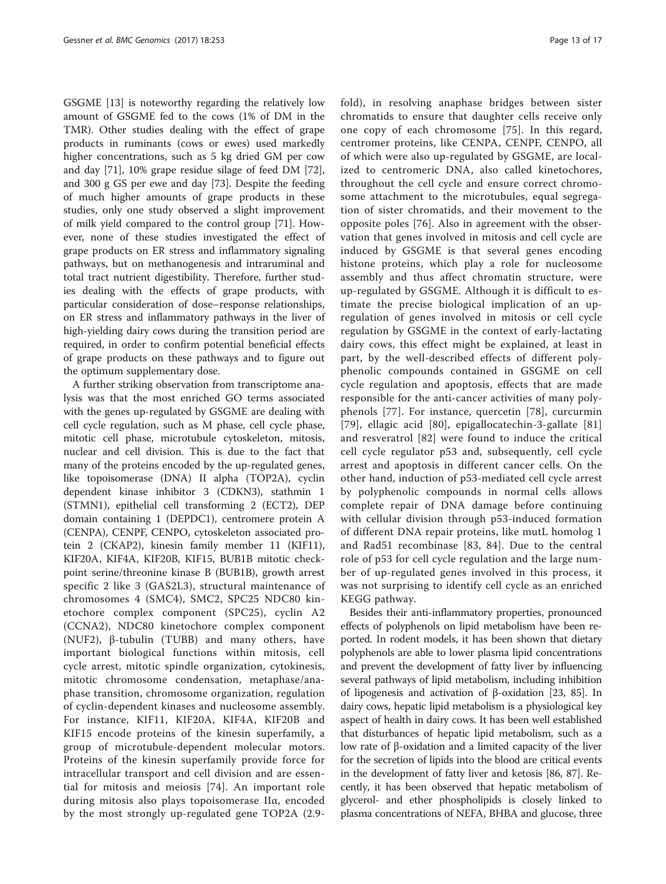GSGME [\[13\]](#page-14-0) is noteworthy regarding the relatively low amount of GSGME fed to the cows (1% of DM in the TMR). Other studies dealing with the effect of grape products in ruminants (cows or ewes) used markedly higher concentrations, such as 5 kg dried GM per cow and day [\[71\]](#page-16-0), 10% grape residue silage of feed DM [\[72](#page-16-0)], and 300 g GS per ewe and day [\[73\]](#page-16-0). Despite the feeding of much higher amounts of grape products in these studies, only one study observed a slight improvement of milk yield compared to the control group [[71\]](#page-16-0). However, none of these studies investigated the effect of grape products on ER stress and inflammatory signaling pathways, but on methanogenesis and intraruminal and total tract nutrient digestibility. Therefore, further studies dealing with the effects of grape products, with particular consideration of dose–response relationships, on ER stress and inflammatory pathways in the liver of high-yielding dairy cows during the transition period are required, in order to confirm potential beneficial effects of grape products on these pathways and to figure out the optimum supplementary dose.

A further striking observation from transcriptome analysis was that the most enriched GO terms associated with the genes up-regulated by GSGME are dealing with cell cycle regulation, such as M phase, cell cycle phase, mitotic cell phase, microtubule cytoskeleton, mitosis, nuclear and cell division. This is due to the fact that many of the proteins encoded by the up-regulated genes, like topoisomerase (DNA) II alpha (TOP2A), cyclin dependent kinase inhibitor 3 (CDKN3), stathmin 1 (STMN1), epithelial cell transforming 2 (ECT2), DEP domain containing 1 (DEPDC1), centromere protein A (CENPA), CENPF, CENPO, cytoskeleton associated protein 2 (CKAP2), kinesin family member 11 (KIF11), KIF20A, KIF4A, KIF20B, KIF15, BUB1B mitotic checkpoint serine/threonine kinase B (BUB1B), growth arrest specific 2 like 3 (GAS2L3), structural maintenance of chromosomes 4 (SMC4), SMC2, SPC25 NDC80 kinetochore complex component (SPC25), cyclin A2 (CCNA2), NDC80 kinetochore complex component (NUF2), β-tubulin (TUBB) and many others, have important biological functions within mitosis, cell cycle arrest, mitotic spindle organization, cytokinesis, mitotic chromosome condensation, metaphase/anaphase transition, chromosome organization, regulation of cyclin-dependent kinases and nucleosome assembly. For instance, KIF11, KIF20A, KIF4A, KIF20B and KIF15 encode proteins of the kinesin superfamily, a group of microtubule-dependent molecular motors. Proteins of the kinesin superfamily provide force for intracellular transport and cell division and are essential for mitosis and meiosis [[74](#page-16-0)]. An important role during mitosis also plays topoisomerase IIα, encoded by the most strongly up-regulated gene TOP2A (2.9fold), in resolving anaphase bridges between sister chromatids to ensure that daughter cells receive only one copy of each chromosome [[75](#page-16-0)]. In this regard, centromer proteins, like CENPA, CENPF, CENPO, all of which were also up-regulated by GSGME, are localized to centromeric DNA, also called kinetochores, throughout the cell cycle and ensure correct chromosome attachment to the microtubules, equal segregation of sister chromatids, and their movement to the opposite poles [[76\]](#page-16-0). Also in agreement with the observation that genes involved in mitosis and cell cycle are induced by GSGME is that several genes encoding histone proteins, which play a role for nucleosome assembly and thus affect chromatin structure, were up-regulated by GSGME. Although it is difficult to estimate the precise biological implication of an upregulation of genes involved in mitosis or cell cycle regulation by GSGME in the context of early-lactating dairy cows, this effect might be explained, at least in part, by the well-described effects of different polyphenolic compounds contained in GSGME on cell cycle regulation and apoptosis, effects that are made responsible for the anti-cancer activities of many polyphenols [\[77\]](#page-16-0). For instance, quercetin [[78](#page-16-0)], curcurmin [[79](#page-16-0)], ellagic acid [[80](#page-16-0)], epigallocatechin-3-gallate [[81](#page-16-0)] and resveratrol [[82](#page-16-0)] were found to induce the critical cell cycle regulator p53 and, subsequently, cell cycle arrest and apoptosis in different cancer cells. On the other hand, induction of p53-mediated cell cycle arrest by polyphenolic compounds in normal cells allows complete repair of DNA damage before continuing with cellular division through p53-induced formation of different DNA repair proteins, like mutL homolog 1 and Rad51 recombinase [[83](#page-16-0), [84](#page-16-0)]. Due to the central role of p53 for cell cycle regulation and the large number of up-regulated genes involved in this process, it was not surprising to identify cell cycle as an enriched KEGG pathway.

Besides their anti-inflammatory properties, pronounced effects of polyphenols on lipid metabolism have been reported. In rodent models, it has been shown that dietary polyphenols are able to lower plasma lipid concentrations and prevent the development of fatty liver by influencing several pathways of lipid metabolism, including inhibition of lipogenesis and activation of β-oxidation [\[23,](#page-15-0) [85](#page-16-0)]. In dairy cows, hepatic lipid metabolism is a physiological key aspect of health in dairy cows. It has been well established that disturbances of hepatic lipid metabolism, such as a low rate of β-oxidation and a limited capacity of the liver for the secretion of lipids into the blood are critical events in the development of fatty liver and ketosis [\[86](#page-16-0), [87](#page-16-0)]. Recently, it has been observed that hepatic metabolism of glycerol- and ether phospholipids is closely linked to plasma concentrations of NEFA, BHBA and glucose, three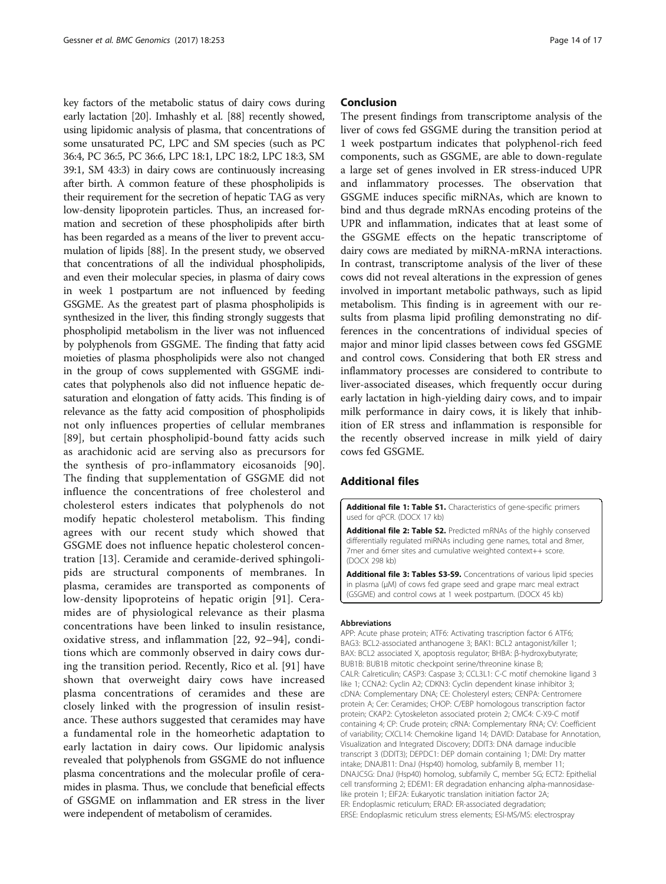<span id="page-13-0"></span>key factors of the metabolic status of dairy cows during early lactation [[20](#page-14-0)]. Imhashly et al. [\[88\]](#page-16-0) recently showed, using lipidomic analysis of plasma, that concentrations of some unsaturated PC, LPC and SM species (such as PC 36:4, PC 36:5, PC 36:6, LPC 18:1, LPC 18:2, LPC 18:3, SM 39:1, SM 43:3) in dairy cows are continuously increasing after birth. A common feature of these phospholipids is their requirement for the secretion of hepatic TAG as very low-density lipoprotein particles. Thus, an increased formation and secretion of these phospholipids after birth has been regarded as a means of the liver to prevent accumulation of lipids [[88](#page-16-0)]. In the present study, we observed that concentrations of all the individual phospholipids, and even their molecular species, in plasma of dairy cows in week 1 postpartum are not influenced by feeding GSGME. As the greatest part of plasma phospholipids is synthesized in the liver, this finding strongly suggests that phospholipid metabolism in the liver was not influenced by polyphenols from GSGME. The finding that fatty acid moieties of plasma phospholipids were also not changed in the group of cows supplemented with GSGME indicates that polyphenols also did not influence hepatic desaturation and elongation of fatty acids. This finding is of relevance as the fatty acid composition of phospholipids not only influences properties of cellular membranes [[89](#page-16-0)], but certain phospholipid-bound fatty acids such as arachidonic acid are serving also as precursors for the synthesis of pro-inflammatory eicosanoids [[90](#page-16-0)]. The finding that supplementation of GSGME did not influence the concentrations of free cholesterol and cholesterol esters indicates that polyphenols do not modify hepatic cholesterol metabolism. This finding agrees with our recent study which showed that GSGME does not influence hepatic cholesterol concentration [[13\]](#page-14-0). Ceramide and ceramide-derived sphingolipids are structural components of membranes. In plasma, ceramides are transported as components of low-density lipoproteins of hepatic origin [[91\]](#page-16-0). Ceramides are of physiological relevance as their plasma concentrations have been linked to insulin resistance, oxidative stress, and inflammation [\[22,](#page-14-0) [92](#page-16-0)–[94](#page-16-0)], conditions which are commonly observed in dairy cows during the transition period. Recently, Rico et al. [\[91](#page-16-0)] have shown that overweight dairy cows have increased plasma concentrations of ceramides and these are closely linked with the progression of insulin resistance. These authors suggested that ceramides may have a fundamental role in the homeorhetic adaptation to early lactation in dairy cows. Our lipidomic analysis revealed that polyphenols from GSGME do not influence plasma concentrations and the molecular profile of ceramides in plasma. Thus, we conclude that beneficial effects of GSGME on inflammation and ER stress in the liver were independent of metabolism of ceramides.

#### Conclusion

The present findings from transcriptome analysis of the liver of cows fed GSGME during the transition period at 1 week postpartum indicates that polyphenol-rich feed components, such as GSGME, are able to down-regulate a large set of genes involved in ER stress-induced UPR and inflammatory processes. The observation that GSGME induces specific miRNAs, which are known to bind and thus degrade mRNAs encoding proteins of the UPR and inflammation, indicates that at least some of the GSGME effects on the hepatic transcriptome of dairy cows are mediated by miRNA-mRNA interactions. In contrast, transcriptome analysis of the liver of these cows did not reveal alterations in the expression of genes involved in important metabolic pathways, such as lipid metabolism. This finding is in agreement with our results from plasma lipid profiling demonstrating no differences in the concentrations of individual species of major and minor lipid classes between cows fed GSGME and control cows. Considering that both ER stress and inflammatory processes are considered to contribute to liver-associated diseases, which frequently occur during early lactation in high-yielding dairy cows, and to impair milk performance in dairy cows, it is likely that inhibition of ER stress and inflammation is responsible for the recently observed increase in milk yield of dairy cows fed GSGME.

## Additional files

[Additional file 1: Table S1.](dx.doi.org/10.1186/s12864-017-3638-1) Characteristics of gene-specific primers used for qPCR. (DOCX 17 kb)

[Additional file 2: Table S2.](dx.doi.org/10.1186/s12864-017-3638-1) Predicted mRNAs of the highly conserved differentially regulated miRNAs including gene names, total and 8mer, 7mer and 6mer sites and cumulative weighted context++ score. (DOCX 298 kb)

[Additional file 3: Tables S3-S9.](dx.doi.org/10.1186/s12864-017-3638-1) Concentrations of various lipid species in plasma (μM) of cows fed grape seed and grape marc meal extract (GSGME) and control cows at 1 week postpartum. (DOCX 45 kb)

#### Abbreviations

APP: Acute phase protein; ATF6: Activating trascription factor 6 ATF6; BAG3: BCL2-associated anthanogene 3; BAK1: BCL2 antagonist/killer 1; BAX: BCL2 associated X, apoptosis regulator; BHBA: β-hydroxybutyrate; BUB1B: BUB1B mitotic checkpoint serine/threonine kinase B; CALR: Calreticulin; CASP3: Caspase 3; CCL3L1: C-C motif chemokine ligand 3 like 1; CCNA2: Cyclin A2; CDKN3: Cyclin dependent kinase inhibitor 3; cDNA: Complementary DNA; CE: Cholesteryl esters; CENPA: Centromere protein A; Cer: Ceramides; CHOP: C/EBP homologous transcription factor protein; CKAP2: Cytoskeleton associated protein 2; CMC4: C-X9-C motif containing 4; CP: Crude protein; cRNA: Complementary RNA; CV: Coefficient of variability; CXCL14: Chemokine ligand 14; DAVID: Database for Annotation, Visualization and Integrated Discovery; DDIT3: DNA damage inducible transcript 3 (DDIT3); DEPDC1: DEP domain containing 1; DMI: Dry matter intake; DNAJB11: DnaJ (Hsp40) homolog, subfamily B, member 11; DNAJC5G: DnaJ (Hsp40) homolog, subfamily C, member 5G; ECT2: Epithelial cell transforming 2; EDEM1: ER degradation enhancing alpha-mannosidaselike protein 1; EIF2A: Eukaryotic translation initiation factor 2A; ER: Endoplasmic reticulum; ERAD: ER-associated degradation; ERSE: Endoplasmic reticulum stress elements; ESI-MS/MS: electrospray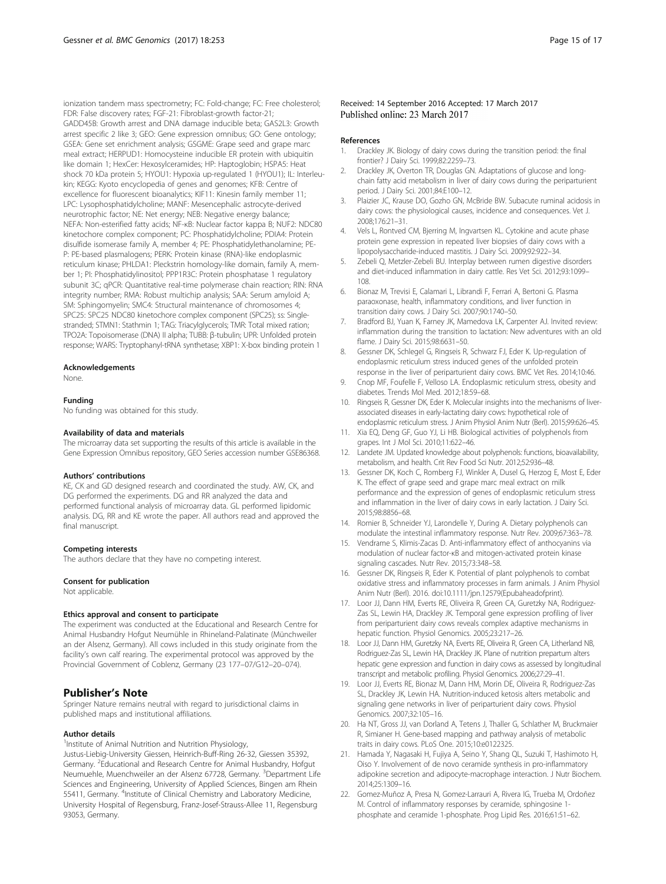<span id="page-14-0"></span>ionization tandem mass spectrometry; FC: Fold-change; FC: Free cholesterol; FDR: False discovery rates; FGF-21: Fibroblast-growth factor-21; GADD45B: Growth arrest and DNA damage inducible beta; GAS2L3: Growth arrest specific 2 like 3; GEO: Gene expression omnibus; GO: Gene ontology; GSEA: Gene set enrichment analysis; GSGME: Grape seed and grape marc meal extract; HERPUD1: Homocysteine inducible ER protein with ubiquitin like domain 1; HexCer: Hexosylceramides; HP: Haptoglobin; HSPA5: Heat shock 70 kDa protein 5; HYOU1: Hypoxia up-regulated 1 (HYOU1); IL: Interleukin; KEGG: Kyoto encyclopedia of genes and genomes; KFB: Centre of excellence for fluorescent bioanalytics; KIF11: Kinesin family member 11; LPC: Lysophosphatidylcholine; MANF: Mesencephalic astrocyte-derived neurotrophic factor; NE: Net energy; NEB: Negative energy balance; NEFA: Non-esterified fatty acids; NF-κB: Nuclear factor kappa B; NUF2: NDC80 kinetochore complex component; PC: Phosphatidylcholine; PDIA4: Protein disulfide isomerase family A, member 4; PE: Phosphatidylethanolamine; PE-P: PE-based plasmalogens; PERK: Protein kinase (RNA)-like endoplasmic reticulum kinase; PHLDA1: Pleckstrin homology-like domain, family A, member 1; PI: Phosphatidylinositol; PPP1R3C: Protein phosphatase 1 regulatory subunit 3C; qPCR: Quantitative real-time polymerase chain reaction; RIN: RNA integrity number; RMA: Robust multichip analysis; SAA: Serum amyloid A; SM: Sphingomyelin; SMC4: Structural maintenance of chromosomes 4; SPC25: SPC25 NDC80 kinetochore complex component (SPC25); ss: Singlestranded; STMN1: Stathmin 1; TAG: Triacylglycerols; TMR: Total mixed ration; TPO2A: Topoisomerase (DNA) II alpha; TUBB: β-tubulin; UPR: Unfolded protein response; WARS: Tryptophanyl-tRNA synthetase; XBP1: X-box binding protein 1

#### Acknowledgements

None.

#### Funding

No funding was obtained for this study.

#### Availability of data and materials

The microarray data set supporting the results of this article is available in the Gene Expression Omnibus repository, GEO Series accession number GSE86368.

#### Authors' contributions

KE, CK and GD designed research and coordinated the study. AW, CK, and DG performed the experiments. DG and RR analyzed the data and performed functional analysis of microarray data. GL performed lipidomic analysis. DG, RR and KE wrote the paper. All authors read and approved the final manuscript.

#### Competing interests

The authors declare that they have no competing interest.

#### Consent for publication

Not applicable.

#### Ethics approval and consent to participate

The experiment was conducted at the Educational and Research Centre for Animal Husbandry Hofgut Neumühle in Rhineland-Palatinate (Münchweiler an der Alsenz, Germany). All cows included in this study originate from the facility's own calf rearing. The experimental protocol was approved by the Provincial Government of Coblenz, Germany (23 177–07/G12–20–074).

### Publisher's Note

Springer Nature remains neutral with regard to jurisdictional claims in published maps and institutional affiliations.

#### Author details

93053, Germany.

<sup>1</sup> Institute of Animal Nutrition and Nutrition Physiology, Justus-Liebig-University Giessen, Heinrich-Buff-Ring 26-32, Giessen 35392, Germany. <sup>2</sup> Educational and Research Centre for Animal Husbandry, Hofgut Neumuehle, Muenchweiler an der Alsenz 67728, Germany. <sup>3</sup>Department Life Sciences and Engineering, University of Applied Sciences, Bingen am Rhein<br>55411, Germany. <sup>4</sup>Institute of Clinical Chemistry and Laboratory Medicine, University Hospital of Regensburg, Franz-Josef-Strauss-Allee 11, Regensburg

#### Received: 14 September 2016 Accepted: 17 March 2017 Published online: 23 March 2017

#### References

- 1. Drackley JK. Biology of dairy cows during the transition period: the final frontier? J Dairy Sci. 1999;82:2259–73.
- 2. Drackley JK, Overton TR, Douglas GN. Adaptations of glucose and longchain fatty acid metabolism in liver of dairy cows during the periparturient period. J Dairy Sci. 2001;84:E100–12.
- 3. Plaizier JC, Krause DO, Gozho GN, McBride BW. Subacute ruminal acidosis in dairy cows: the physiological causes, incidence and consequences. Vet J. 2008;176:21–31.
- 4. Vels L, Rontved CM, Bjerring M, Ingvartsen KL. Cytokine and acute phase protein gene expression in repeated liver biopsies of dairy cows with a lipopolysaccharide-induced mastitis. J Dairy Sci. 2009;92:922–34.
- 5. Zebeli Q, Metzler-Zebeli BU. Interplay between rumen digestive disorders and diet-induced inflammation in dairy cattle. Res Vet Sci. 2012;93:1099– 108.
- 6. Bionaz M, Trevisi E, Calamari L, Librandi F, Ferrari A, Bertoni G. Plasma paraoxonase, health, inflammatory conditions, and liver function in transition dairy cows. J Dairy Sci. 2007;90:1740–50.
- 7. Bradford BJ, Yuan K, Farney JK, Mamedova LK, Carpenter AJ. Invited review: inflammation during the transition to lactation: New adventures with an old flame. J Dairy Sci. 2015;98:6631–50.
- 8. Gessner DK, Schlegel G, Ringseis R, Schwarz FJ, Eder K. Up-regulation of endoplasmic reticulum stress induced genes of the unfolded protein response in the liver of periparturient dairy cows. BMC Vet Res. 2014;10:46.
- 9. Cnop MF, Foufelle F, Velloso LA. Endoplasmic reticulum stress, obesity and diabetes. Trends Mol Med. 2012;18:59–68.
- 10. Ringseis R, Gessner DK, Eder K. Molecular insights into the mechanisms of liverassociated diseases in early-lactating dairy cows: hypothetical role of endoplasmic reticulum stress. J Anim Physiol Anim Nutr (Berl). 2015;99:626–45.
- 11. Xia EQ, Deng GF, Guo YJ, Li HB. Biological activities of polyphenols from grapes. Int J Mol Sci. 2010;11:622–46.
- 12. Landete JM. Updated knowledge about polyphenols: functions, bioavailability, metabolism, and health. Crit Rev Food Sci Nutr. 2012;52:936–48.
- 13. Gessner DK, Koch C, Romberg FJ, Winkler A, Dusel G, Herzog E, Most E, Eder K. The effect of grape seed and grape marc meal extract on mill performance and the expression of genes of endoplasmic reticulum stress and inflammation in the liver of dairy cows in early lactation. J Dairy Sci. 2015;98:8856–68.
- 14. Romier B, Schneider YJ, Larondelle Y, During A. Dietary polyphenols can modulate the intestinal inflammatory response. Nutr Rev. 2009;67:363–78.
- 15. Vendrame S, Klimis-Zacas D. Anti-inflammatory effect of anthocyanins via modulation of nuclear factor-κB and mitogen-activated protein kinase signaling cascades. Nutr Rev. 2015;73:348–58.
- 16. Gessner DK, Ringseis R, Eder K. Potential of plant polyphenols to combat oxidative stress and inflammatory processes in farm animals. J Anim Physiol Anim Nutr (Berl). 2016. doi:[10.1111/jpn.12579\(Epubaheadofprint\).](http://dx.doi.org/10.1111/jpn.12579(Epubaheadofprint))
- 17. Loor JJ, Dann HM, Everts RE, Oliveira R, Green CA, Guretzky NA, Rodriguez-Zas SL, Lewin HA, Drackley JK. Temporal gene expression profiling of liver from periparturient dairy cows reveals complex adaptive mechanisms in hepatic function. Physiol Genomics. 2005;23:217–26.
- 18. Loor JJ, Dann HM, Guretzky NA, Everts RE, Oliveira R, Green CA, Litherland NB, Rodriguez-Zas SL, Lewin HA, Drackley JK. Plane of nutrition prepartum alters hepatic gene expression and function in dairy cows as assessed by longitudinal transcript and metabolic profiling. Physiol Genomics. 2006;27:29–41.
- 19. Loor JJ, Everts RE, Bionaz M, Dann HM, Morin DE, Oliveira R, Rodriguez-Zas SL, Drackley JK, Lewin HA. Nutrition-induced ketosis alters metabolic and signaling gene networks in liver of periparturient dairy cows. Physiol Genomics. 2007;32:105–16.
- 20. Ha NT, Gross JJ, van Dorland A, Tetens J, Thaller G, Schlather M, Bruckmaier R, Simianer H. Gene-based mapping and pathway analysis of metabolic traits in dairy cows. PLoS One. 2015;10:e0122325.
- 21. Hamada Y, Nagasaki H, Fujiya A, Seino Y, Shang QL, Suzuki T, Hashimoto H, Oiso Y. Involvement of de novo ceramide synthesis in pro-inflammatory adipokine secretion and adipocyte-macrophage interaction. J Nutr Biochem. 2014;25:1309–16.
- 22. Gomez-Muñoz A, Presa N, Gomez-Larrauri A, Rivera IG, Trueba M, Ordoñez M. Control of inflammatory responses by ceramide, sphingosine 1 phosphate and ceramide 1-phosphate. Prog Lipid Res. 2016;61:51–62.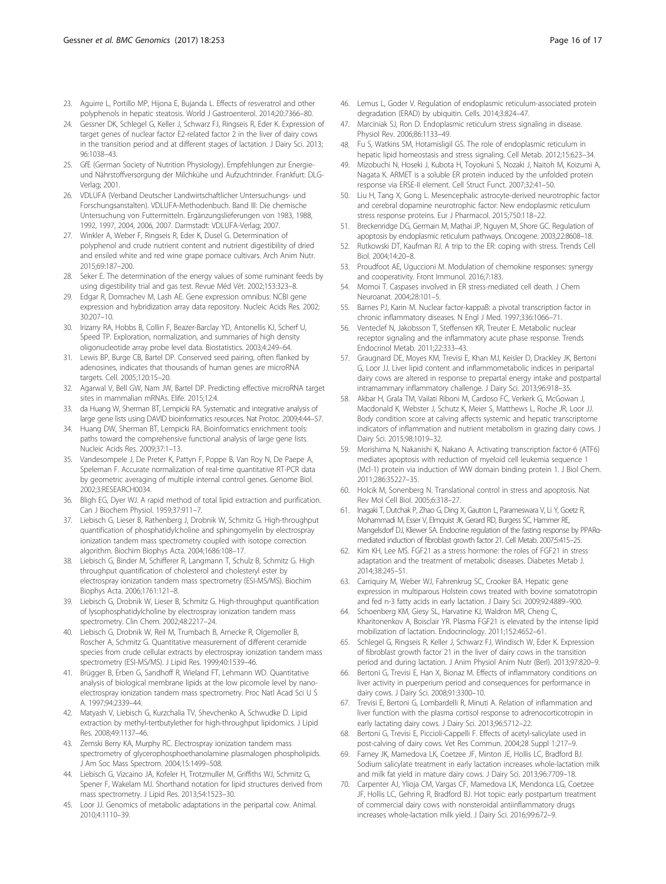- <span id="page-15-0"></span>23. Aguirre L, Portillo MP, Hijona E, Bujanda L. Effects of resveratrol and other polyphenols in hepatic steatosis. World J Gastroenterol. 2014;20:7366–80.
- 24. Gessner DK, Schlegel G, Keller J, Schwarz FJ, Ringseis R, Eder K. Expression of target genes of nuclear factor E2-related factor 2 in the liver of dairy cows in the transition period and at different stages of lactation. J Dairy Sci. 2013; 96:1038–43.
- 25. GfE (German Society of Nutrition Physiology). Empfehlungen zur Energieund Nährstoffversorgung der Milchkühe und Aufzuchtrinder. Frankfurt: DLG-Verlag; 2001.
- 26. VDLUFA (Verband Deutscher Landwirtschaftlicher Untersuchungs- und Forschungsanstalten). VDLUFA-Methodenbuch. Band III: Die chemische Untersuchung von Futtermitteln. Ergänzungslieferungen von 1983, 1988, 1992, 1997, 2004, 2006, 2007. Darmstadt: VDLUFA-Verlag; 2007.
- 27. Winkler A, Weber F, Ringseis R, Eder K, Dusel G. Determination of polyphenol and crude nutrient content and nutrient digestibility of dried and ensiled white and red wine grape pomace cultivars. Arch Anim Nutr. 2015;69:187–200.
- 28. Seker E. The determination of the energy values of some ruminant feeds by using digestibility trial and gas test. Revue Méd Vét. 2002;153:323–8.
- 29. Edgar R, Domrachev M, Lash AE. Gene expression omnibus: NCBI gene expression and hybridization array data repository. Nucleic Acids Res. 2002; 30:207–10.
- 30. Irizarry RA, Hobbs B, Collin F, Beazer-Barclay YD, Antonellis KJ, Scherf U, Speed TP. Exploration, normalization, and summaries of high density oligonucleotide array probe level data. Biostatistics. 2003;4:249–64.
- 31. Lewis BP, Burge CB, Bartel DP. Conserved seed pairing, often flanked by adenosines, indicates that thousands of human genes are microRNA targets. Cell. 2005;120:15–20.
- 32. Agarwal V, Bell GW, Nam JW, Bartel DP. Predicting effective microRNA target sites in mammalian mRNAs. Elife. 2015;12:4.
- 33. da Huang W, Sherman BT, Lempicki RA. Systematic and integrative analysis of large gene lists using DAVID bioinformatics resources. Nat Protoc. 2009;4:44–57.
- 34. Huang DW, Sherman BT, Lempicki RA. Bioinformatics enrichment tools: paths toward the comprehensive functional analysis of large gene lists. Nucleic Acids Res. 2009;37:1–13.
- 35. Vandesompele J, De Preter K, Pattyn F, Poppe B, Van Roy N, De Paepe A, Speleman F. Accurate normalization of real-time quantitative RT-PCR data by geometric averaging of multiple internal control genes. Genome Biol. 2002;3:RESEARCH0034.
- 36. Bligh EG, Dyer WJ. A rapid method of total lipid extraction and purification. Can J Biochem Physiol. 1959;37:911–7.
- 37. Liebisch G, Lieser B, Rathenberg J, Drobnik W, Schmitz G. High-throughput quantification of phosphatidylcholine and sphingomyelin by electrospray ionization tandem mass spectrometry coupled with isotope correction algorithm. Biochim Biophys Acta. 2004;1686:108–17.
- 38. Liebisch G, Binder M, Schifferer R, Langmann T, Schulz B, Schmitz G. High throughput quantification of cholesterol and cholesteryl ester by electrospray ionization tandem mass spectrometry (ESI-MS/MS). Biochim Biophys Acta. 2006;1761:121–8.
- 39. Liebisch G, Drobnik W, Lieser B, Schmitz G. High-throughput quantification of lysophosphatidylcholine by electrospray ionization tandem mass spectrometry. Clin Chem. 2002;48:2217–24.
- 40. Liebisch G, Drobnik W, Reil M, Trumbach B, Arnecke R, Olgemoller B, Roscher A, Schmitz G. Quantitative measurement of different ceramide species from crude cellular extracts by electrospray ionization tandem mass spectrometry (ESI-MS/MS). J Lipid Res. 1999;40:1539–46.
- 41. Brügger B, Erben G, Sandhoff R, Wieland FT, Lehmann WD. Quantitative analysis of biological membrane lipids at the low picomole level by nanoelectrospray ionization tandem mass spectrometry. Proc Natl Acad Sci U S A. 1997;94:2339–44.
- 42. Matyash V, Liebisch G, Kurzchalia TV, Shevchenko A, Schwudke D. Lipid extraction by methyl-tertbutylether for high-throughput lipidomics. J Lipid Res. 2008;49:1137–46.
- 43. Zemski Berry KA, Murphy RC. Electrospray ionization tandem mass spectrometry of glycerophosphoethanolamine plasmalogen phospholipids. J Am Soc Mass Spectrom. 2004;15:1499–508.
- 44. Liebisch G, Vizcaino JA, Kofeler H, Trotzmuller M, Griffiths WJ, Schmitz G, Spener F, Wakelam MJ. Shorthand notation for lipid structures derived from mass spectrometry. J Lipid Res. 2013;54:1523–30.
- 45. Loor JJ. Genomics of metabolic adaptations in the peripartal cow. Animal. 2010;4:1110–39.
- 46. Lemus L, Goder V. Regulation of endoplasmic reticulum-associated protein degradation (ERAD) by ubiquitin. Cells. 2014;3:824–47.
- 47. Marciniak SJ, Ron D. Endoplasmic reticulum stress signaling in disease. Physiol Rev. 2006;86:1133–49.
- 48. Fu S, Watkins SM, Hotamisligil GS. The role of endoplasmic reticulum in hepatic lipid homeostasis and stress signaling. Cell Metab. 2012;15:623–34.
- 49. Mizobuchi N, Hoseki J, Kubota H, Toyokuni S, Nozaki J, Naitoh M, Koizumi A, Nagata K. ARMET is a soluble ER protein induced by the unfolded protein response via ERSE-II element. Cell Struct Funct. 2007;32:41–50.
- 50. Liu H, Tang X, Gong L. Mesencephalic astrocyte-derived neurotrophic factor and cerebral dopamine neurotrophic factor: New endoplasmic reticulum stress response proteins. Eur J Pharmacol. 2015;750:118–22.
- 51. Breckenridge DG, Germain M, Mathai JP, Nguyen M, Shore GC. Regulation of apoptosis by endoplasmic reticulum pathways. Oncogene. 2003;22:8608–18.
- 52. Rutkowski DT, Kaufman RJ. A trip to the ER: coping with stress. Trends Cell Biol. 2004;14:20–8.
- 53. Proudfoot AE, Uguccioni M. Modulation of chemokine responses: synergy and cooperativity. Front Immunol. 2016;7:183.
- 54. Momoi T. Caspases involved in ER stress-mediated cell death. J Chem Neuroanat. 2004;28:101–5.
- 55. Barnes PJ, Karin M. Nuclear factor-kappaB: a pivotal transcription factor in chronic inflammatory diseases. N Engl J Med. 1997;336:1066–71.
- 56. Venteclef N, Jakobsson T, Steffensen KR, Treuter E. Metabolic nuclear receptor signaling and the inflammatory acute phase response. Trends Endocrinol Metab. 2011;22:333–43.
- 57. Graugnard DE, Moyes KM, Trevisi E, Khan MJ, Keisler D, Drackley JK, Bertoni G, Loor JJ. Liver lipid content and inflammometabolic indices in peripartal dairy cows are altered in response to prepartal energy intake and postpartal intramammary inflammatory challenge. J Dairy Sci. 2013;96:918–35.
- 58. Akbar H, Grala TM, Vailati Riboni M, Cardoso FC, Verkerk G, McGowan J, Macdonald K, Webster J, Schutz K, Meier S, Matthews L, Roche JR, Loor JJ. Body condition score at calving affects systemic and hepatic transcriptome indicators of inflammation and nutrient metabolism in grazing dairy cows. J Dairy Sci. 2015;98:1019–32.
- 59. Morishima N, Nakanishi K, Nakano A. Activating transcription factor-6 (ATF6) mediates apoptosis with reduction of myeloid cell leukemia sequence 1 (Mcl-1) protein via induction of WW domain binding protein 1. J Biol Chem. 2011;286:35227–35.
- 60. Holcik M, Sonenberg N. Translational control in stress and apoptosis. Nat Rev Mol Cell Biol. 2005;6:318–27.
- 61. Inagaki T, Dutchak P, Zhao G, Ding X, Gautron L, Parameswara V, Li Y, Goetz R, Mohammadi M, Esser V, Elmquist JK, Gerard RD, Burgess SC, Hammer RE, Mangelsdorf DJ, Kliewer SA. Endocrine regulation of the fasting response by PPARαmediated induction of fibroblast growth factor 21. Cell Metab. 2007;5:415–25.
- 62. Kim KH, Lee MS. FGF21 as a stress hormone: the roles of FGF21 in stress adaptation and the treatment of metabolic diseases. Diabetes Metab J. 2014;38:245–51.
- 63. Carriquiry M, Weber WJ, Fahrenkrug SC, Crooker BA. Hepatic gene expression in multiparous Holstein cows treated with bovine somatotropin and fed n-3 fatty acids in early lactation. J Dairy Sci. 2009;92:4889–900.
- 64. Schoenberg KM, Giesy SL, Harvatine KJ, Waldron MR, Cheng C, Kharitonenkov A, Boisclair YR. Plasma FGF21 is elevated by the intense lipid mobilization of lactation. Endocrinology. 2011;152:4652–61.
- 65. Schlegel G, Ringseis R, Keller J, Schwarz FJ, Windisch W, Eder K. Expression of fibroblast growth factor 21 in the liver of dairy cows in the transition period and during lactation. J Anim Physiol Anim Nutr (Berl). 2013;97:820–9.
- 66. Bertoni G, Trevisi E, Han X, Bionaz M. Effects of inflammatory conditions on liver activity in puerperium period and consequences for performance in dairy cows. J Dairy Sci. 2008;91:3300–10.
- 67. Trevisi E, Bertoni G, Lombardelli R, Minuti A. Relation of inflammation and liver function with the plasma cortisol response to adrenocorticotropin in early lactating dairy cows. J Dairy Sci. 2013;96:5712–22.
- Bertoni G, Trevisi E, Piccioli-Cappelli F. Effects of acetyl-salicylate used in post-calving of dairy cows. Vet Res Commun. 2004;28 Suppl 1:217–9.
- Farney JK, Mamedova LK, Coetzee JF, Minton JE, Hollis LC, Bradford BJ. Sodium salicylate treatment in early lactation increases whole-lactation milk and milk fat yield in mature dairy cows. J Dairy Sci. 2013;96:7709–18.
- 70. Carpenter AJ, Ylioja CM, Vargas CF, Mamedova LK, Mendonca LG, Coetzee JF, Hollis LC, Gehring R, Bradford BJ. Hot topic: early postpartum treatment of commercial dairy cows with nonsteroidal antiinflammatory drugs increases whole-lactation milk yield. J Dairy Sci. 2016;99:672–9.